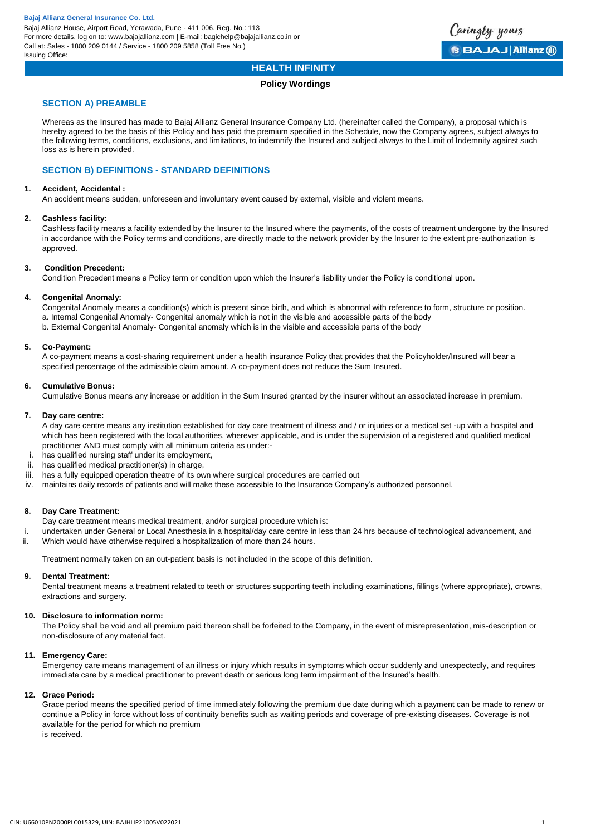

# **HEALTH INFINITY**

# **Policy Wordings**

# **SECTION A) PREAMBLE**

Whereas as the Insured has made to Bajaj Allianz General Insurance Company Ltd. (hereinafter called the Company), a proposal which is hereby agreed to be the basis of this Policy and has paid the premium specified in the Schedule, now the Company agrees, subject always to the following terms, conditions, exclusions, and limitations, to indemnify the Insured and subject always to the Limit of Indemnity against such loss as is herein provided.

# **SECTION B) DEFINITIONS - STANDARD DEFINITIONS**

# **1. Accident, Accidental :**

An accident means sudden, unforeseen and involuntary event caused by external, visible and violent means.

# **2. Cashless facility:**

Cashless facility means a facility extended by the Insurer to the Insured where the payments, of the costs of treatment undergone by the Insured in accordance with the Policy terms and conditions, are directly made to the network provider by the Insurer to the extent pre-authorization is approved.

# **3. Condition Precedent:**

Condition Precedent means a Policy term or condition upon which the Insurer's liability under the Policy is conditional upon.

# **4. Congenital Anomaly:**

Congenital Anomaly means a condition(s) which is present since birth, and which is abnormal with reference to form, structure or position. a. Internal Congenital Anomaly- Congenital anomaly which is not in the visible and accessible parts of the body b. External Congenital Anomaly- Congenital anomaly which is in the visible and accessible parts of the body

# **5. Co-Payment:**

A co-payment means a cost-sharing requirement under a health insurance Policy that provides that the Policyholder/Insured will bear a specified percentage of the admissible claim amount. A co-payment does not reduce the Sum Insured.

# **6. Cumulative Bonus:**

Cumulative Bonus means any increase or addition in the Sum Insured granted by the insurer without an associated increase in premium.

## **7. Day care centre:**

A day care centre means any institution established for day care treatment of illness and / or injuries or a medical set -up with a hospital and which has been registered with the local authorities, wherever applicable, and is under the supervision of a registered and qualified medical practitioner AND must comply with all minimum criteria as under:-

- i. has qualified nursing staff under its employment,
- ii. has qualified medical practitioner(s) in charge,
- iii. has a fully equipped operation theatre of its own where surgical procedures are carried out
- iv. maintains daily records of patients and will make these accessible to the Insurance Company's authorized personnel.

# **8. Day Care Treatment:**

- Day care treatment means medical treatment, and/or surgical procedure which is:
- i. undertaken under General or Local Anesthesia in a hospital/day care centre in less than 24 hrs because of technological advancement, and ii. Which would have otherwise required a hospitalization of more than 24 hours.

Treatment normally taken on an out-patient basis is not included in the scope of this definition.

## **9. Dental Treatment:**

Dental treatment means a treatment related to teeth or structures supporting teeth including examinations, fillings (where appropriate), crowns, extractions and surgery.

# **10. Disclosure to information norm:**

The Policy shall be void and all premium paid thereon shall be forfeited to the Company, in the event of misrepresentation, mis-description or non-disclosure of any material fact.

## **11. Emergency Care:**

Emergency care means management of an illness or injury which results in symptoms which occur suddenly and unexpectedly, and requires immediate care by a medical practitioner to prevent death or serious long term impairment of the Insured's health.

## **12. Grace Period:**

Grace period means the specified period of time immediately following the premium due date during which a payment can be made to renew or continue a Policy in force without loss of continuity benefits such as waiting periods and coverage of pre-existing diseases. Coverage is not available for the period for which no premium is received.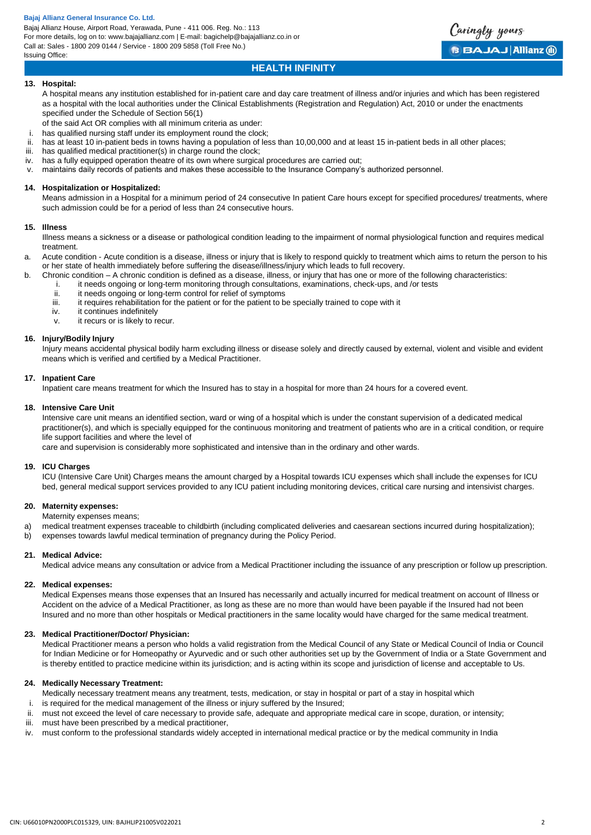# **HEALTH INFINITY**

Caringly yours

**BBAJAJ Allianz (ii)** 

# **13. Hospital:**

A hospital means any institution established for in-patient care and day care treatment of illness and/or injuries and which has been registered as a hospital with the local authorities under the Clinical Establishments (Registration and Regulation) Act, 2010 or under the enactments specified under the Schedule of Section 56(1)

of the said Act OR complies with all minimum criteria as under:

- i. has qualified nursing staff under its employment round the clock;
- ii. has at least 10 in-patient beds in towns having a population of less than 10,00,000 and at least 15 in-patient beds in all other places;
- iii. has qualified medical practitioner(s) in charge round the clock;
- iv. has a fully equipped operation theatre of its own where surgical procedures are carried out;
- v. maintains daily records of patients and makes these accessible to the Insurance Company's authorized personnel.

# **14. Hospitalization or Hospitalized:**

Means admission in a Hospital for a minimum period of 24 consecutive In patient Care hours except for specified procedures/ treatments, where such admission could be for a period of less than 24 consecutive hours.

# **15. Illness**

Illness means a sickness or a disease or pathological condition leading to the impairment of normal physiological function and requires medical treatment.

- a. Acute condition Acute condition is a disease, illness or injury that is likely to respond quickly to treatment which aims to return the person to his or her state of health immediately before suffering the disease/illness/injury which leads to full recovery.
- b. Chronic condition A chronic condition is defined as a disease, illness, or injury that has one or more of the following characteristics:
	- i. it needs ongoing or long-term monitoring through consultations, examinations, check-ups, and /or tests<br>it is needs ongoing or long-term control for relief of symptoms
	- ii. it needs ongoing or long-term control for relief of symptoms<br>iii it requires rehabilitation for the patient or for the patient to be
	- it requires rehabilitation for the patient or for the patient to be specially trained to cope with it
	- iv. it continues indefinitely
	- v. it recurs or is likely to recur.

# **16. Injury/Bodily Injury**

Injury means accidental physical bodily harm excluding illness or disease solely and directly caused by external, violent and visible and evident means which is verified and certified by a Medical Practitioner.

# **17. Inpatient Care**

Inpatient care means treatment for which the Insured has to stay in a hospital for more than 24 hours for a covered event.

# **18. Intensive Care Unit**

Intensive care unit means an identified section, ward or wing of a hospital which is under the constant supervision of a dedicated medical practitioner(s), and which is specially equipped for the continuous monitoring and treatment of patients who are in a critical condition, or require life support facilities and where the level of

care and supervision is considerably more sophisticated and intensive than in the ordinary and other wards.

## **19. ICU Charges**

ICU (Intensive Care Unit) Charges means the amount charged by a Hospital towards ICU expenses which shall include the expenses for ICU bed, general medical support services provided to any ICU patient including monitoring devices, critical care nursing and intensivist charges.

# **20. Maternity expenses:**

- Maternity expenses means;
- a) medical treatment expenses traceable to childbirth (including complicated deliveries and caesarean sections incurred during hospitalization);
- b) expenses towards lawful medical termination of pregnancy during the Policy Period.

# **21. Medical Advice:**

Medical advice means any consultation or advice from a Medical Practitioner including the issuance of any prescription or follow up prescription.

# **22. Medical expenses:**

Medical Expenses means those expenses that an Insured has necessarily and actually incurred for medical treatment on account of Illness or Accident on the advice of a Medical Practitioner, as long as these are no more than would have been payable if the Insured had not been Insured and no more than other hospitals or Medical practitioners in the same locality would have charged for the same medical treatment.

# **23. Medical Practitioner/Doctor/ Physician:**

Medical Practitioner means a person who holds a valid registration from the Medical Council of any State or Medical Council of India or Council for Indian Medicine or for Homeopathy or Ayurvedic and or such other authorities set up by the Government of India or a State Government and is thereby entitled to practice medicine within its jurisdiction; and is acting within its scope and jurisdiction of license and acceptable to Us.

# **24. Medically Necessary Treatment:**

Medically necessary treatment means any treatment, tests, medication, or stay in hospital or part of a stay in hospital which

- i. is required for the medical management of the illness or injury suffered by the Insured;
- ii. must not exceed the level of care necessary to provide safe, adequate and appropriate medical care in scope, duration, or intensity;
- iii. must have been prescribed by a medical practitioner,
- iv. must conform to the professional standards widely accepted in international medical practice or by the medical community in India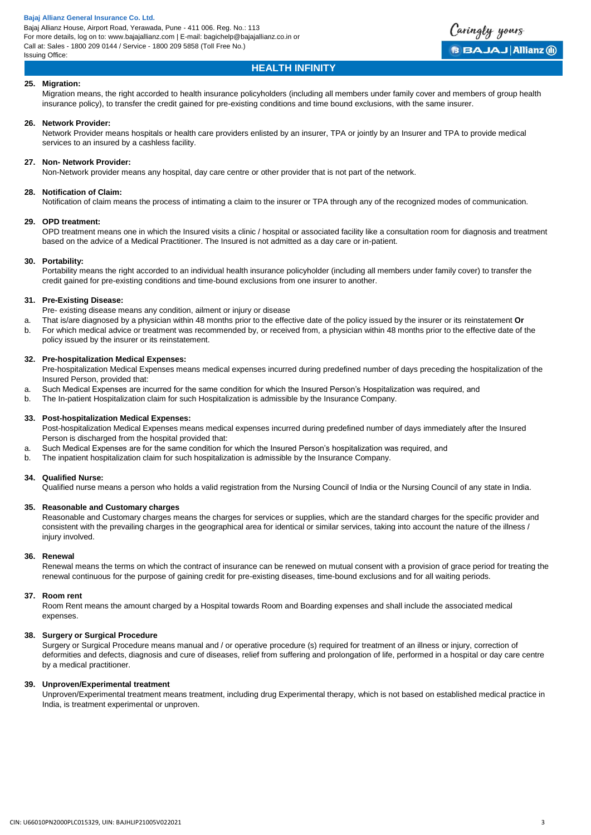# Caringly yours **BBAJAJ Allianz (ii)**

# **HEALTH INFINITY**

# **25. Migration:**

Migration means, the right accorded to health insurance policyholders (including all members under family cover and members of group health insurance policy), to transfer the credit gained for pre-existing conditions and time bound exclusions, with the same insurer.

# **26. Network Provider:**

Network Provider means hospitals or health care providers enlisted by an insurer, TPA or jointly by an Insurer and TPA to provide medical services to an insured by a cashless facility.

# **27. Non- Network Provider:**

Non-Network provider means any hospital, day care centre or other provider that is not part of the network.

# **28. Notification of Claim:**

Notification of claim means the process of intimating a claim to the insurer or TPA through any of the recognized modes of communication.

## **29. OPD treatment:**

OPD treatment means one in which the Insured visits a clinic / hospital or associated facility like a consultation room for diagnosis and treatment based on the advice of a Medical Practitioner. The Insured is not admitted as a day care or in-patient.

## **30. Portability:**

Portability means the right accorded to an individual health insurance policyholder (including all members under family cover) to transfer the credit gained for pre-existing conditions and time-bound exclusions from one insurer to another.

# **31. Pre-Existing Disease:**

Pre- existing disease means any condition, ailment or injury or disease

- a. That is/are diagnosed by a physician within 48 months prior to the effective date of the policy issued by the insurer or its reinstatement **Or**
- b. For which medical advice or treatment was recommended by, or received from, a physician within 48 months prior to the effective date of the policy issued by the insurer or its reinstatement.

# **32. Pre-hospitalization Medical Expenses:**

Pre-hospitalization Medical Expenses means medical expenses incurred during predefined number of days preceding the hospitalization of the Insured Person, provided that:

- a. Such Medical Expenses are incurred for the same condition for which the Insured Person's Hospitalization was required, and
- b. The In-patient Hospitalization claim for such Hospitalization is admissible by the Insurance Company.

## **33. Post-hospitalization Medical Expenses:**

Post-hospitalization Medical Expenses means medical expenses incurred during predefined number of days immediately after the Insured Person is discharged from the hospital provided that:

- a. Such Medical Expenses are for the same condition for which the Insured Person's hospitalization was required, and
- b. The inpatient hospitalization claim for such hospitalization is admissible by the Insurance Company.

## **34. Qualified Nurse:**

Qualified nurse means a person who holds a valid registration from the Nursing Council of India or the Nursing Council of any state in India.

## **35. Reasonable and Customary charges**

Reasonable and Customary charges means the charges for services or supplies, which are the standard charges for the specific provider and consistent with the prevailing charges in the geographical area for identical or similar services, taking into account the nature of the illness / injury involved.

## **36. Renewal**

Renewal means the terms on which the contract of insurance can be renewed on mutual consent with a provision of grace period for treating the renewal continuous for the purpose of gaining credit for pre-existing diseases, time-bound exclusions and for all waiting periods.

## **37. Room rent**

Room Rent means the amount charged by a Hospital towards Room and Boarding expenses and shall include the associated medical expenses.

## **38. Surgery or Surgical Procedure**

Surgery or Surgical Procedure means manual and / or operative procedure (s) required for treatment of an illness or injury, correction of deformities and defects, diagnosis and cure of diseases, relief from suffering and prolongation of life, performed in a hospital or day care centre by a medical practitioner.

# **39. Unproven/Experimental treatment**

Unproven/Experimental treatment means treatment, including drug Experimental therapy, which is not based on established medical practice in India, is treatment experimental or unproven.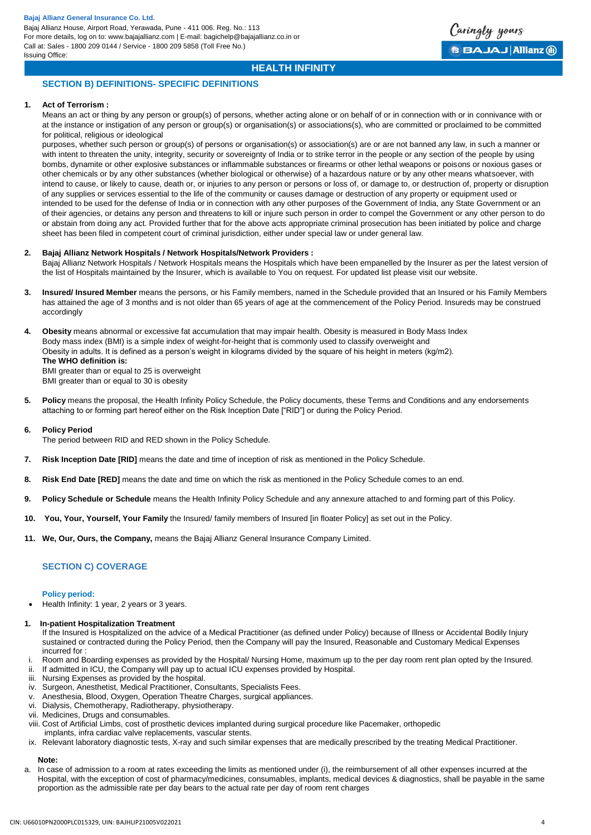

# **HEALTH INFINITY**

# **SECTION B) DEFINITIONS- SPECIFIC DEFINITIONS**

## **1. Act of Terrorism :**

Means an act or thing by any person or group(s) of persons, whether acting alone or on behalf of or in connection with or in connivance with or at the instance or instigation of any person or group(s) or organisation(s) or associations(s), who are committed or proclaimed to be committed for political, religious or ideological

purposes, whether such person or group(s) of persons or organisation(s) or association(s) are or are not banned any law, in such a manner or with intent to threaten the unity, integrity, security or sovereignty of India or to strike terror in the people or any section of the people by using bombs, dynamite or other explosive substances or inflammable substances or firearms or other lethal weapons or poisons or noxious gases or other chemicals or by any other substances (whether biological or otherwise) of a hazardous nature or by any other means whatsoever, with intend to cause, or likely to cause, death or, or injuries to any person or persons or loss of, or damage to, or destruction of, property or disruption of any supplies or services essential to the life of the community or causes damage or destruction of any property or equipment used or intended to be used for the defense of India or in connection with any other purposes of the Government of India, any State Government or an of their agencies, or detains any person and threatens to kill or injure such person in order to compel the Government or any other person to do or abstain from doing any act. Provided further that for the above acts appropriate criminal prosecution has been initiated by police and charge sheet has been filed in competent court of criminal jurisdiction, either under special law or under general law.

# **2. Bajaj Allianz Network Hospitals / Network Hospitals/Network Providers :**

Bajaj Allianz Network Hospitals / Network Hospitals means the Hospitals which have been empanelled by the Insurer as per the latest version of the list of Hospitals maintained by the Insurer, which is available to You on request. For updated list please visit our website.

**3. Insured/ Insured Member** means the persons, or his Family members, named in the Schedule provided that an Insured or his Family Members has attained the age of 3 months and is not older than 65 years of age at the commencement of the Policy Period. Insureds may be construed accordingly

**4. Obesity** means abnormal or excessive fat accumulation that may impair health. Obesity is measured in Body Mass Index Body mass index (BMI) is a simple index of weight-for-height that is commonly used to classify overweight and Obesity in adults. It is defined as a person's weight in kilograms divided by the square of his height in meters (kg/m2). **The WHO definition is:** BMI greater than or equal to 25 is overweight

BMI greater than or equal to 30 is obesity

**5. Policy** means the proposal, the Health Infinity Policy Schedule, the Policy documents, these Terms and Conditions and any endorsements attaching to or forming part hereof either on the Risk Inception Date ["RID"] or during the Policy Period.

## **6. Policy Period**

The period between RID and RED shown in the Policy Schedule.

- **7. Risk Inception Date [RID]** means the date and time of inception of risk as mentioned in the Policy Schedule.
- **8. Risk End Date [RED]** means the date and time on which the risk as mentioned in the Policy Schedule comes to an end.
- **9. Policy Schedule or Schedule** means the Health Infinity Policy Schedule and any annexure attached to and forming part of this Policy.
- **10. You, Your, Yourself, Your Family** the Insured/ family members of Insured [in floater Policy] as set out in the Policy.
- **11. We, Our, Ours, the Company,** means the Bajaj Allianz General Insurance Company Limited.

# **SECTION C) COVERAGE**

## **Policy period:**

- Health Infinity: 1 year, 2 years or 3 years.
- **1. In-patient Hospitalization Treatment**

If the Insured is Hospitalized on the advice of a Medical Practitioner (as defined under Policy) because of Illness or Accidental Bodily Injury sustained or contracted during the Policy Period, then the Company will pay the Insured, Reasonable and Customary Medical Expenses incurred for :

- i. Room and Boarding expenses as provided by the Hospital/ Nursing Home, maximum up to the per day room rent plan opted by the Insured.
- ii. If admitted in ICU, the Company will pay up to actual ICU expenses provided by Hospital.
- iii. Nursing Expenses as provided by the hospital.
- iv. Surgeon, Anesthetist, Medical Practitioner, Consultants, Specialists Fees.
- v. Anesthesia, Blood, Oxygen, Operation Theatre Charges, surgical appliances.
- vi. Dialysis, Chemotherapy, Radiotherapy, physiotherapy.
- vii. Medicines, Drugs and consumables.
- viii. Cost of Artificial Limbs, cost of prosthetic devices implanted during surgical procedure like Pacemaker, orthopedic
- implants, infra cardiac valve replacements, vascular stents.
- ix. Relevant laboratory diagnostic tests, X-ray and such similar expenses that are medically prescribed by the treating Medical Practitioner.

## **Note:**

a. In case of admission to a room at rates exceeding the limits as mentioned under (i), the reimbursement of all other expenses incurred at the Hospital, with the exception of cost of pharmacy/medicines, consumables, implants, medical devices & diagnostics, shall be payable in the same proportion as the admissible rate per day bears to the actual rate per day of room rent charges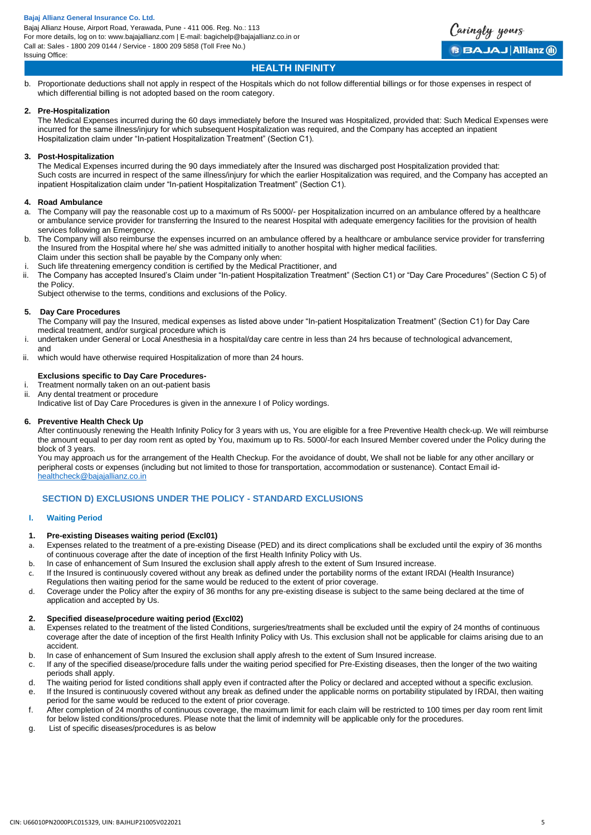

# **HEALTH INFINITY**

b. Proportionate deductions shall not apply in respect of the Hospitals which do not follow differential billings or for those expenses in respect of which differential billing is not adopted based on the room category.

# **2. Pre-Hospitalization**

The Medical Expenses incurred during the 60 days immediately before the Insured was Hospitalized, provided that: Such Medical Expenses were incurred for the same illness/injury for which subsequent Hospitalization was required, and the Company has accepted an inpatient Hospitalization claim under "In-patient Hospitalization Treatment" (Section C1).

# **3. Post-Hospitalization**

The Medical Expenses incurred during the 90 days immediately after the Insured was discharged post Hospitalization provided that: Such costs are incurred in respect of the same illness/injury for which the earlier Hospitalization was required, and the Company has accepted an inpatient Hospitalization claim under "In-patient Hospitalization Treatment" (Section C1).

# **4. Road Ambulance**

- a. The Company will pay the reasonable cost up to a maximum of Rs 5000/- per Hospitalization incurred on an ambulance offered by a healthcare or ambulance service provider for transferring the Insured to the nearest Hospital with adequate emergency facilities for the provision of health services following an Emergency.
- b. The Company will also reimburse the expenses incurred on an ambulance offered by a healthcare or ambulance service provider for transferring the Insured from the Hospital where he/ she was admitted initially to another hospital with higher medical facilities. Claim under this section shall be payable by the Company only when:
- Such life threatening emergency condition is certified by the Medical Practitioner, and
- ii. The Company has accepted Insured's Claim under "In-patient Hospitalization Treatment" (Section C1) or "Day Care Procedures" (Section C 5) of the Policy.

Subject otherwise to the terms, conditions and exclusions of the Policy.

## **5. Day Care Procedures**

and

The Company will pay the Insured, medical expenses as listed above under "In-patient Hospitalization Treatment" (Section C1) for Day Care medical treatment, and/or surgical procedure which is

- undertaken under General or Local Anesthesia in a hospital/day care centre in less than 24 hrs because of technological advancement,
- ii. which would have otherwise required Hospitalization of more than 24 hours.

# **Exclusions specific to Day Care Procedures-**

- i. Treatment normally taken on an out-patient basis
- ii. Any dental treatment or procedure

Indicative list of Day Care Procedures is given in the annexure I of Policy wordings.

## **6. Preventive Health Check Up**

After continuously renewing the Health Infinity Policy for 3 years with us, You are eligible for a free Preventive Health check-up. We will reimburse the amount equal to per day room rent as opted by You, maximum up to Rs. 5000/-for each Insured Member covered under the Policy during the block of 3 years.

You may approach us for the arrangement of the Health Checkup. For the avoidance of doubt, We shall not be liable for any other ancillary or peripheral costs or expenses (including but not limited to those for transportation, accommodation or sustenance). Contact Email id[healthcheck@bajajallianz.co.in](mailto:healthcheck@bajajallianz.co.in)

# **SECTION D) EXCLUSIONS UNDER THE POLICY - STANDARD EXCLUSIONS**

## **I. Waiting Period**

# **1. Pre-existing Diseases waiting period (Excl01)**

- a. Expenses related to the treatment of a pre-existing Disease (PED) and its direct complications shall be excluded until the expiry of 36 months of continuous coverage after the date of inception of the first Health Infinity Policy with Us.
- b. In case of enhancement of Sum Insured the exclusion shall apply afresh to the extent of Sum Insured increase.
- c. If the Insured is continuously covered without any break as defined under the portability norms of the extant IRDAI (Health Insurance)
- Regulations then waiting period for the same would be reduced to the extent of prior coverage.
- d. Coverage under the Policy after the expiry of 36 months for any pre-existing disease is subject to the same being declared at the time of application and accepted by Us.

# **2. Specified disease/procedure waiting period (Excl02)**

- a. Expenses related to the treatment of the listed Conditions, surgeries/treatments shall be excluded until the expiry of 24 months of continuous coverage after the date of inception of the first Health Infinity Policy with Us. This exclusion shall not be applicable for claims arising due to an accident.
- b. In case of enhancement of Sum Insured the exclusion shall apply afresh to the extent of Sum Insured increase.
- c. If any of the specified disease/procedure falls under the waiting period specified for Pre-Existing diseases, then the longer of the two waiting periods shall apply.
- d. The waiting period for listed conditions shall apply even if contracted after the Policy or declared and accepted without a specific exclusion.
- e. If the Insured is continuously covered without any break as defined under the applicable norms on portability stipulated by IRDAI, then waiting period for the same would be reduced to the extent of prior coverage.
- f. After completion of 24 months of continuous coverage, the maximum limit for each claim will be restricted to 100 times per day room rent limit for below listed conditions/procedures. Please note that the limit of indemnity will be applicable only for the procedures.
- g. List of specific diseases/procedures is as below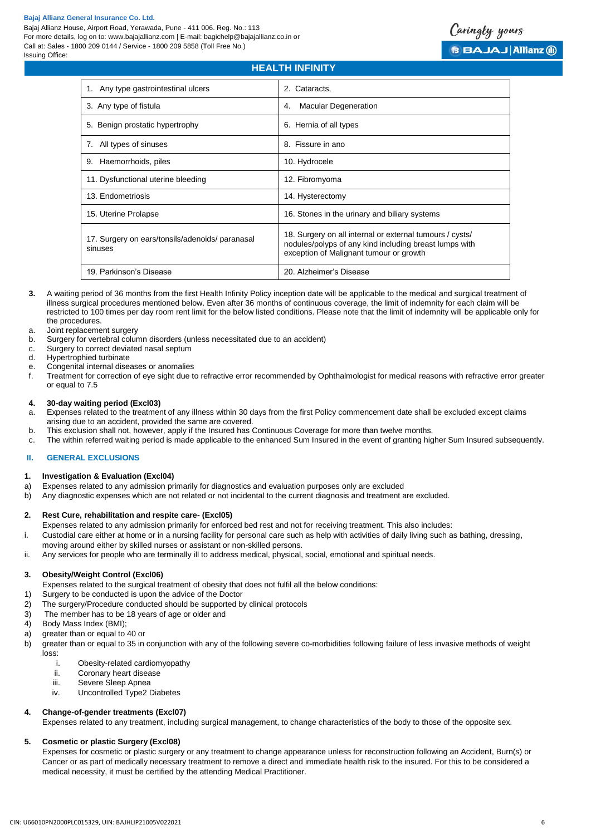

# **HEALTH INFINITY**

| 1. Any type gastrointestinal ulcers                        | 2. Cataracts,                                                                                                                                                 |
|------------------------------------------------------------|---------------------------------------------------------------------------------------------------------------------------------------------------------------|
| 3. Any type of fistula                                     | <b>Macular Degeneration</b><br>4.                                                                                                                             |
| 5. Benign prostatic hypertrophy                            | 6. Hernia of all types                                                                                                                                        |
| 7. All types of sinuses                                    | 8. Fissure in ano                                                                                                                                             |
| 9. Haemorrhoids, piles                                     | 10. Hydrocele                                                                                                                                                 |
| 11. Dysfunctional uterine bleeding                         | 12. Fibromyoma                                                                                                                                                |
| 13. Endometriosis                                          | 14. Hysterectomy                                                                                                                                              |
| 15. Uterine Prolapse                                       | 16. Stones in the urinary and biliary systems                                                                                                                 |
| 17. Surgery on ears/tonsils/adenoids/ paranasal<br>sinuses | 18. Surgery on all internal or external tumours / cysts/<br>nodules/polyps of any kind including breast lumps with<br>exception of Malignant tumour or growth |
| 19. Parkinson's Disease                                    | 20. Alzheimer's Disease                                                                                                                                       |

- **3.** A waiting period of 36 months from the first Health Infinity Policy inception date will be applicable to the medical and surgical treatment of illness surgical procedures mentioned below. Even after 36 months of continuous coverage, the limit of indemnity for each claim will be restricted to 100 times per day room rent limit for the below listed conditions. Please note that the limit of indemnity will be applicable only for the procedures.
- a. Joint replacement surgery
- b. Surgery for vertebral column disorders (unless necessitated due to an accident)
- c. Surgery to correct deviated nasal septum
- d. Hypertrophied turbinate
- e. Congenital internal diseases or anomalies
- f. Treatment for correction of eye sight due to refractive error recommended by Ophthalmologist for medical reasons with refractive error greater or equal to 7.5

#### **4. 30-day waiting period (Excl03)**

- a. Expenses related to the treatment of any illness within 30 days from the first Policy commencement date shall be excluded except claims arising due to an accident, provided the same are covered.
- b. This exclusion shall not, however, apply if the Insured has Continuous Coverage for more than twelve months.
- c. The within referred waiting period is made applicable to the enhanced Sum Insured in the event of granting higher Sum Insured subsequently.

## **II. GENERAL EXCLUSIONS**

## **1. Investigation & Evaluation (Excl04)**

- a) Expenses related to any admission primarily for diagnostics and evaluation purposes only are excluded
- b) Any diagnostic expenses which are not related or not incidental to the current diagnosis and treatment are excluded.

# **2. Rest Cure, rehabilitation and respite care- (Excl05)**

- Expenses related to any admission primarily for enforced bed rest and not for receiving treatment. This also includes:
- i. Custodial care either at home or in a nursing facility for personal care such as help with activities of daily living such as bathing, dressing,
- moving around either by skilled nurses or assistant or non-skilled persons.
- ii. Any services for people who are terminally ill to address medical, physical, social, emotional and spiritual needs.

## **3. Obesity/Weight Control (Excl06)**

- Expenses related to the surgical treatment of obesity that does not fulfil all the below conditions:
- 1) Surgery to be conducted is upon the advice of the Doctor
- 2) The surgery/Procedure conducted should be supported by clinical protocols
- 3) The member has to be 18 years of age or older and
- 4) Body Mass Index (BMI);
- a) greater than or equal to 40 or
- b) greater than or equal to 35 in conjunction with any of the following severe co-morbidities following failure of less invasive methods of weight loss:
	- i. Obesity-related cardiomyopathy
	- ii. Coronary heart disease<br>iii. Severe Sleep Apnea
	- Severe Sleep Apnea
	- iv. Uncontrolled Type2 Diabetes

## **4. Change-of-gender treatments (Excl07)**

Expenses related to any treatment, including surgical management, to change characteristics of the body to those of the opposite sex.

#### **5. Cosmetic or plastic Surgery (Excl08)**

Expenses for cosmetic or plastic surgery or any treatment to change appearance unless for reconstruction following an Accident, Burn(s) or Cancer or as part of medically necessary treatment to remove a direct and immediate health risk to the insured. For this to be considered a medical necessity, it must be certified by the attending Medical Practitioner.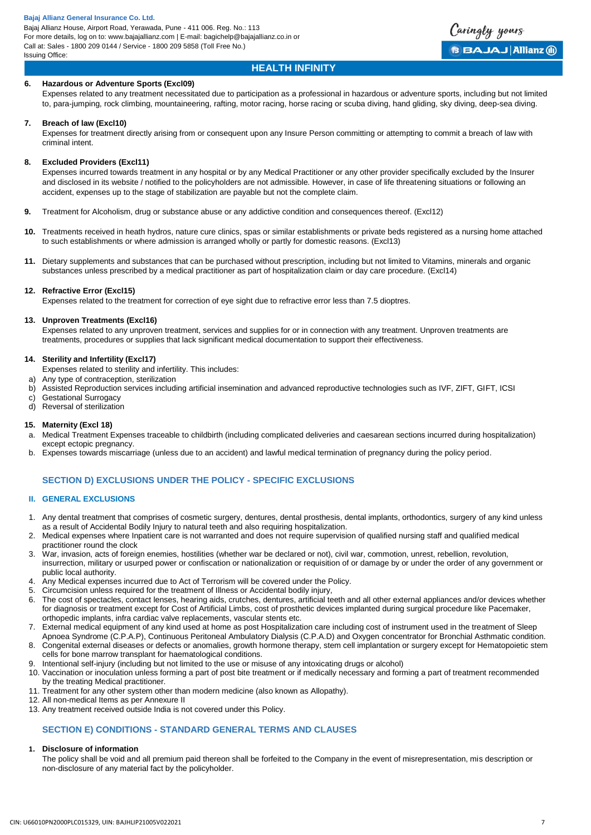# **HEALTH INFINITY**

Caringly yours

**BBAJAJ Allianz (ii)** 

# **6. Hazardous or Adventure Sports (Excl09)**

Expenses related to any treatment necessitated due to participation as a professional in hazardous or adventure sports, including but not limited to, para-jumping, rock climbing, mountaineering, rafting, motor racing, horse racing or scuba diving, hand gliding, sky diving, deep-sea diving.

## **7. Breach of law (Excl10)**

Expenses for treatment directly arising from or consequent upon any Insure Person committing or attempting to commit a breach of law with criminal intent.

#### **8. Excluded Providers (Excl11)**

Expenses incurred towards treatment in any hospital or by any Medical Practitioner or any other provider specifically excluded by the Insurer and disclosed in its website / notified to the policyholders are not admissible. However, in case of life threatening situations or following an accident, expenses up to the stage of stabilization are payable but not the complete claim.

- **9.** Treatment for Alcoholism, drug or substance abuse or any addictive condition and consequences thereof. (Excl12)
- **10.** Treatments received in heath hydros, nature cure clinics, spas or similar establishments or private beds registered as a nursing home attached to such establishments or where admission is arranged wholly or partly for domestic reasons. (Excl13)
- **11.** Dietary supplements and substances that can be purchased without prescription, including but not limited to Vitamins, minerals and organic substances unless prescribed by a medical practitioner as part of hospitalization claim or day care procedure. (Excl14)

#### **12. Refractive Error (Excl15)**

Expenses related to the treatment for correction of eye sight due to refractive error less than 7.5 dioptres.

#### **13. Unproven Treatments (Excl16)**

Expenses related to any unproven treatment, services and supplies for or in connection with any treatment. Unproven treatments are treatments, procedures or supplies that lack significant medical documentation to support their effectiveness.

# **14. Sterility and Infertility (Excl17)**

Expenses related to sterility and infertility. This includes:

- a) Any type of contraception, sterilization
- b) Assisted Reproduction services including artificial insemination and advanced reproductive technologies such as IVF, ZIFT, GIFT, ICSI
- c) Gestational Surrogacy
- d) Reversal of sterilization

## **15. Maternity (Excl 18)**

- a. Medical Treatment Expenses traceable to childbirth (including complicated deliveries and caesarean sections incurred during hospitalization) except ectopic pregnancy.
- b. Expenses towards miscarriage (unless due to an accident) and lawful medical termination of pregnancy during the policy period.

# **SECTION D) EXCLUSIONS UNDER THE POLICY - SPECIFIC EXCLUSIONS**

# **II. GENERAL EXCLUSIONS**

- 1. Any dental treatment that comprises of cosmetic surgery, dentures, dental prosthesis, dental implants, orthodontics, surgery of any kind unless as a result of Accidental Bodily Injury to natural teeth and also requiring hospitalization.
- 2. Medical expenses where Inpatient care is not warranted and does not require supervision of qualified nursing staff and qualified medical practitioner round the clock
- 3. War, invasion, acts of foreign enemies, hostilities (whether war be declared or not), civil war, commotion, unrest, rebellion, revolution, insurrection, military or usurped power or confiscation or nationalization or requisition of or damage by or under the order of any government or public local authority.
- 4. Any Medical expenses incurred due to Act of Terrorism will be covered under the Policy.
- 5. Circumcision unless required for the treatment of Illness or Accidental bodily injury,
- 6. The cost of spectacles, contact lenses, hearing aids, crutches, dentures, artificial teeth and all other external appliances and/or devices whether for diagnosis or treatment except for Cost of Artificial Limbs, cost of prosthetic devices implanted during surgical procedure like Pacemaker, orthopedic implants, infra cardiac valve replacements, vascular stents etc.
- 7. External medical equipment of any kind used at home as post Hospitalization care including cost of instrument used in the treatment of Sleep Apnoea Syndrome (C.P.A.P), Continuous Peritoneal Ambulatory Dialysis (C.P.A.D) and Oxygen concentrator for Bronchial Asthmatic condition.
- 8. Congenital external diseases or defects or anomalies, growth hormone therapy, stem cell implantation or surgery except for Hematopoietic stem cells for bone marrow transplant for haematological conditions.
- 9. Intentional self-injury (including but not limited to the use or misuse of any intoxicating drugs or alcohol)
- 10. Vaccination or inoculation unless forming a part of post bite treatment or if medically necessary and forming a part of treatment recommended by the treating Medical practitioner.
- 11. Treatment for any other system other than modern medicine (also known as Allopathy).
- 12. All non-medical Items as per Annexure II
- 13. Any treatment received outside India is not covered under this Policy.

# **SECTION E) CONDITIONS - STANDARD GENERAL TERMS AND CLAUSES**

# **1. Disclosure of information**

The policy shall be void and all premium paid thereon shall be forfeited to the Company in the event of misrepresentation, mis description or non-disclosure of any material fact by the policyholder.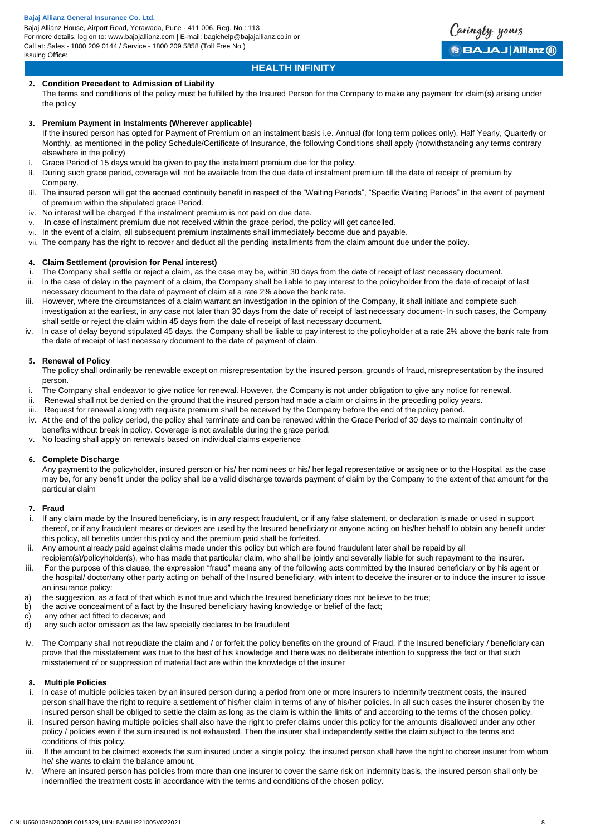#### **Bajaj Allianz General Insurance Co. Ltd.**

Bajaj Allianz House, Airport Road, Yerawada, Pune - 411 006. Reg. No.: 113 For more details, log on to: www.bajajallianz.com | E-mail: bagichelp@bajajallianz.co.in or Call at: Sales - 1800 209 0144 / Service - 1800 209 5858 (Toll Free No.) Issuing Office:



# **HEALTH INFINITY**

# **2. Condition Precedent to Admission of Liability**

The terms and conditions of the policy must be fulfilled by the Insured Person for the Company to make any payment for claim(s) arising under the policy

## **3. Premium Payment in Instalments (Wherever applicable)**

If the insured person has opted for Payment of Premium on an instalment basis i.e. Annual (for long term polices only), Half Yearly, Quarterly or Monthly, as mentioned in the policy Schedule/Certificate of Insurance, the following Conditions shall apply (notwithstanding any terms contrary elsewhere in the policy)

- i. Grace Period of 15 days would be given to pay the instalment premium due for the policy.
- ii. During such grace period, coverage will not be available from the due date of instalment premium till the date of receipt of premium by Company.
- iii. The insured person will get the accrued continuity benefit in respect of the "Waiting Periods", "Specific Waiting Periods" in the event of payment of premium within the stipulated grace Period.
- iv. No interest will be charged If the instalment premium is not paid on due date.
- v. In case of instalment premium due not received within the grace period, the policy will get cancelled.
- vi. In the event of a claim, all subsequent premium instalments shall immediately become due and payable.
- vii. The company has the right to recover and deduct all the pending installments from the claim amount due under the policy.

#### **4. Claim Settlement (provision for Penal interest)**

- i. The Company shall settle or reject a claim, as the case may be, within 30 days from the date of receipt of last necessary document.
- ii. ln the case of delay in the payment of a claim, the Company shall be liable to pay interest to the policyholder from the date of receipt of last necessary document to the date of payment of claim at a rate 2% above the bank rate.
- iii. However, where the circumstances of a claim warrant an investigation in the opinion of the Company, it shall initiate and complete such investigation at the earliest, in any case not later than 30 days from the date of receipt of last necessary document- ln such cases, the Company shall settle or reject the claim within 45 days from the date of receipt of last necessary document.
- In case of delay beyond stipulated 45 days, the Company shall be liable to pay interest to the policyholder at a rate 2% above the bank rate from the date of receipt of last necessary document to the date of payment of claim.

#### **5. Renewal of Policy**

The policy shall ordinarily be renewable except on misrepresentation by the insured person. grounds of fraud, misrepresentation by the insured person.

- i. The Company shall endeavor to give notice for renewal. However, the Company is not under obligation to give any notice for renewal.
- ii. Renewal shall not be denied on the ground that the insured person had made a claim or claims in the preceding policy years.
- iii. Request for renewal along with requisite premium shall be received by the Company before the end of the policy period.
- iv. At the end of the policy period, the policy shall terminate and can be renewed within the Grace Period of 30 days to maintain continuity of benefits without break in policy. Coverage is not available during the grace period.
- v. No loading shall apply on renewals based on individual claims experience

#### **6. Complete Discharge**

Any payment to the policyholder, insured person or his/ her nominees or his/ her legal representative or assignee or to the Hospital, as the case may be, for any benefit under the policy shall be a valid discharge towards payment of claim by the Company to the extent of that amount for the particular claim

#### **7. Fraud**

- i. If any claim made by the Insured beneficiary, is in any respect fraudulent, or if any false statement, or declaration is made or used in support thereof, or if any fraudulent means or devices are used by the Insured beneficiary or anyone acting on his/her behalf to obtain any benefit under this policy, all benefits under this policy and the premium paid shall be forfeited.
- ii. Any amount already paid against claims made under this policy but which are found fraudulent later shall be repaid by all
- recipient(s)/policyholder(s), who has made that particular claim, who shall be jointly and severally liable for such repayment to the insurer.
- iii. For the purpose of this clause, the expression "fraud" means any of the following acts committed by the Insured beneficiary or by his agent or the hospital/ doctor/any other party acting on behalf of the Insured beneficiary, with intent to deceive the insurer or to induce the insurer to issue an insurance policy:
- a) the suggestion, as a fact of that which is not true and which the Insured beneficiary does not believe to be true;
- b) the active concealment of a fact by the Insured beneficiary having knowledge or belief of the fact;
- c) any other act fitted to deceive; and
- d) any such actor omission as the law specially declares to be fraudulent
- iv. The Company shall not repudiate the claim and / or forfeit the policy benefits on the ground of Fraud, if the Insured beneficiary / beneficiary can prove that the misstatement was true to the best of his knowledge and there was no deliberate intention to suppress the fact or that such misstatement of or suppression of material fact are within the knowledge of the insurer

# **8. Multiple Policies**

- i. ln case of multiple policies taken by an insured person during a period from one or more insurers to indemnify treatment costs, the insured person shall have the right to require a settlement of his/her claim in terms of any of his/her policies. ln all such cases the insurer chosen by the insured person shall be obliged to settle the claim as long as the claim is within the limits of and according to the terms of the chosen policy.
- ii. lnsured person having multiple policies shall also have the right to prefer claims under this policy for the amounts disallowed under any other policy / policies even if the sum insured is not exhausted. Then the insurer shall independently settle the claim subject to the terms and conditions of this policy.
- iii. If the amount to be claimed exceeds the sum insured under a single policy, the insured person shall have the right to choose insurer from whom he/ she wants to claim the balance amount.
- iv. Where an insured person has policies from more than one insurer to cover the same risk on indemnity basis, the insured person shall only be indemnified the treatment costs in accordance with the terms and conditions of the chosen policy.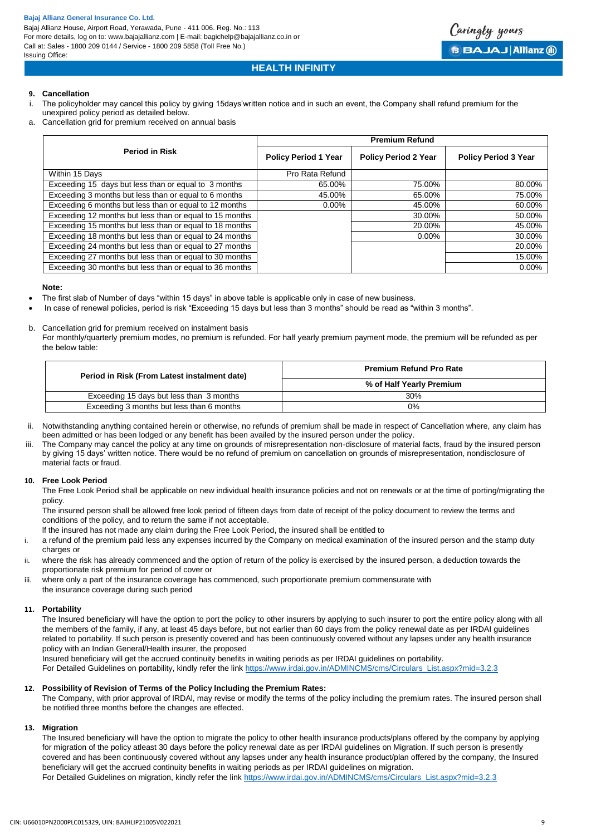

# **HEALTH INFINITY**

# **9. Cancellation**

- i. The policyholder may cancel this policy by giving 15days'written notice and in such an event, the Company shall refund premium for the unexpired policy period as detailed below.
- a. Cancellation grid for premium received on annual basis

|                                                         | <b>Premium Refund</b>       |                             |                             |
|---------------------------------------------------------|-----------------------------|-----------------------------|-----------------------------|
| <b>Period in Risk</b>                                   | <b>Policy Period 1 Year</b> | <b>Policy Period 2 Year</b> | <b>Policy Period 3 Year</b> |
| Within 15 Days                                          | Pro Rata Refund             |                             |                             |
| Exceeding 15 days but less than or equal to 3 months    | 65.00%                      | 75.00%                      | 80.00%                      |
| Exceeding 3 months but less than or equal to 6 months   | 45.00%                      | 65.00%                      | 75.00%                      |
| Exceeding 6 months but less than or equal to 12 months  | $0.00\%$                    | 45.00%                      | 60.00%                      |
| Exceeding 12 months but less than or equal to 15 months |                             | 30.00%                      | 50.00%                      |
| Exceeding 15 months but less than or equal to 18 months |                             | 20.00%                      | 45.00%                      |
| Exceeding 18 months but less than or equal to 24 months |                             | $0.00\%$                    | 30.00%                      |
| Exceeding 24 months but less than or equal to 27 months |                             |                             | 20.00%                      |
| Exceeding 27 months but less than or equal to 30 months |                             |                             | 15.00%                      |
| Exceeding 30 months but less than or equal to 36 months |                             |                             | $0.00\%$                    |

#### **Note:**

- The first slab of Number of days "within 15 days" in above table is applicable only in case of new business.
- In case of renewal policies, period is risk "Exceeding 15 days but less than 3 months" should be read as "within 3 months".
- b. Cancellation grid for premium received on instalment basis

For monthly/quarterly premium modes, no premium is refunded. For half yearly premium payment mode, the premium will be refunded as per the below table:

| <b>Premium Refund Pro Rate</b> |
|--------------------------------|
| % of Half Yearly Premium       |
| 30%                            |
| 0%                             |
|                                |

- ii. Notwithstanding anything contained herein or otherwise, no refunds of premium shall be made in respect of Cancellation where, any claim has been admitted or has been lodged or any benefit has been availed by the insured person under the policy.
- iii. The Company may cancel the policy at any time on grounds of misrepresentation non-disclosure of material facts, fraud by the insured person by giving 15 days' written notice. There would be no refund of premium on cancellation on grounds of misrepresentation, nondisclosure of material facts or fraud.

## **10. Free Look Period**

The Free Look Period shall be applicable on new individual health insurance policies and not on renewals or at the time of porting/migrating the policy.

The insured person shall be allowed free look period of fifteen days from date of receipt of the policy document to review the terms and conditions of the policy, and to return the same if not acceptable.

lf the insured has not made any claim during the Free Look Period, the insured shall be entitled to

- i. a refund of the premium paid less any expenses incurred by the Company on medical examination of the insured person and the stamp duty charges or
- ii. where the risk has already commenced and the option of return of the policy is exercised by the insured person, a deduction towards the proportionate risk premium for period of cover or
- iii. where only a part of the insurance coverage has commenced, such proportionate premium commensurate with the insurance coverage during such period

## **11. Portability**

The Insured beneficiary will have the option to port the policy to other insurers by applying to such insurer to port the entire policy along with all the members of the family, if any, at least 45 days before, but not earlier than 60 days from the policy renewal date as per IRDAI guidelines related to portability. If such person is presently covered and has been continuously covered without any lapses under any health insurance policy with an Indian General/Health insurer, the proposed

Insured beneficiary will get the accrued continuity benefits in waiting periods as per IRDAI guidelines on portability.

For Detailed Guidelines on portability, kindly refer the link [https://www.irdai.gov.in/ADMINCMS/cms/Circulars\\_List.aspx?mid=3.2.3](https://www.irdai.gov.in/ADMINCMS/cms/Circulars_List.aspx?mid=3.2.3)

# **12. Possibility of Revision of Terms of the Policy lncluding the Premium Rates:**

The Company, with prior approval of lRDAl, may revise or modify the terms of the policy including the premium rates. The insured person shall be notified three months before the changes are effected.

## **13. Migration**

The Insured beneficiary will have the option to migrate the policy to other health insurance products/plans offered by the company by applying for migration of the policy atleast 30 days before the policy renewal date as per IRDAI guidelines on Migration. If such person is presently covered and has been continuously covered without any lapses under any health insurance product/plan offered by the company, the Insured beneficiary will get the accrued continuity benefits in waiting periods as per IRDAI guidelines on migration. For Detailed Guidelines on migration, kindly refer the link [https://www.irdai.gov.in/ADMINCMS/cms/Circulars\\_List.aspx?mid=3.2.3](https://www.irdai.gov.in/ADMINCMS/cms/Circulars_List.aspx?mid=3.2.3)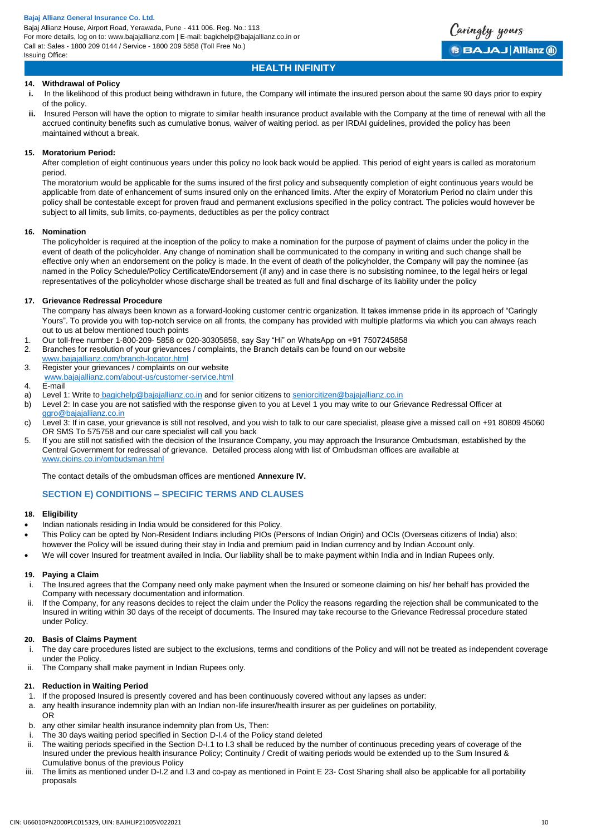

# **HEALTH INFINITY**

# **14. Withdrawal of Policy**

- **i.** In the likelihood of this product being withdrawn in future, the Company will intimate the insured person about the same 90 days prior to expiry of the policy.
- **ii.** lnsured Person will have the option to migrate to similar health insurance product available with the Company at the time of renewal with all the accrued continuity benefits such as cumulative bonus, waiver of waiting period. as per IRDAI guidelines, provided the policy has been maintained without a break.

# **15. Moratorium Period:**

After completion of eight continuous years under this policy no look back would be applied. This period of eight years is called as moratorium period.

The moratorium would be applicable for the sums insured of the first policy and subsequently completion of eight continuous years would be applicable from date of enhancement of sums insured only on the enhanced limits. After the expiry of Moratorium Period no claim under this policy shall be contestable except for proven fraud and permanent exclusions specified in the policy contract. The policies would however be subject to all limits, sub limits, co-payments, deductibles as per the policy contract

# **16. Nomination**

The policyholder is required at the inception of the policy to make a nomination for the purpose of payment of claims under the policy in the event of death of the policyholder. Any change of nomination shall be communicated to the company in writing and such change shall be effective only when an endorsement on the policy is made. ln the event of death of the policyholder, the Company will pay the nominee {as named in the Policy Schedule/Policy Certificate/Endorsement (if any) and in case there is no subsisting nominee, to the legal heirs or legal representatives of the policyholder whose discharge shall be treated as full and final discharge of its liability under the policy

# **17. Grievance Redressal Procedure**

The company has always been known as a forward-looking customer centric organization. It takes immense pride in its approach of "Caringly Yours". To provide you with top-notch service on all fronts, the company has provided with multiple platforms via which you can always reach out to us at below mentioned touch points

- 1. Our toll-free number 1-800-209- 5858 or 020-30305858, say Say "Hi" on WhatsApp on +91 7507245858
- 2. Branches for resolution of your grievances / complaints, the Branch details can be found on our website [www.bajajallianz.com/branch-locator.html](http://www.bajajallianz.com/branch-locator.html)
- 3. Register your grievances / complaints on our website [www.bajajallianz.com/about-us/customer-service.html](http://www.bajajallianz.com/about-us/customer-service.html)
- 
- 4. E-mail<br>a) Level Level 1: Write to [bagichelp@bajajallianz.co.in](mailto:bagichelp@bajajallianz.co.in) and for senior citizens to [seniorcitizen@bajajallianz.co.in](mailto:seniorcitizen@bajajallianz.co.in)
- b) Level 2: In case you are not satisfied with the response given to you at Level 1 you may write to our Grievance Redressal Officer at [ggro@bajajallianz.co.in](mailto:ggro@bajajallianz.co.in)
- c) Level 3: If in case, your grievance is still not resolved, and you wish to talk to our care specialist, please give a missed call on +91 80809 45060 OR SMS To 575758 and our care specialist will call you back
- 5. If you are still not satisfied with the decision of the Insurance Company, you may approach the Insurance Ombudsman, established by the Central Government for redressal of grievance. Detailed process along with list of Ombudsman offices are available at [www.cioins.co.in/ombudsman.html](http://www.cioins.co.in/ombudsman.html)

The contact details of the ombudsman offices are mentioned **Annexure IV.** 

# **SECTION E) CONDITIONS – SPECIFIC TERMS AND CLAUSES**

# **18. Eligibility**

- Indian nationals residing in India would be considered for this Policy.
- This Policy can be opted by Non-Resident Indians including PIOs (Persons of Indian Origin) and OCIs (Overseas citizens of India) also; however the Policy will be issued during their stay in India and premium paid in Indian currency and by Indian Account only.
- We will cover Insured for treatment availed in India. Our liability shall be to make payment within India and in Indian Rupees only.

# **19. Paying a Claim**

- i. The Insured agrees that the Company need only make payment when the Insured or someone claiming on his/ her behalf has provided the Company with necessary documentation and information.
- ii. If the Company, for any reasons decides to reject the claim under the Policy the reasons regarding the rejection shall be communicated to the Insured in writing within 30 days of the receipt of documents. The Insured may take recourse to the Grievance Redressal procedure stated under Policy.

# **20. Basis of Claims Payment**

- i. The day care procedures listed are subject to the exclusions, terms and conditions of the Policy and will not be treated as independent coverage under the Policy.
- ii. The Company shall make payment in Indian Rupees only.

# **21. Reduction in Waiting Period**

- 1. If the proposed Insured is presently covered and has been continuously covered without any lapses as under:
- a. any health insurance indemnity plan with an Indian non-life insurer/health insurer as per guidelines on portability, OR
- b. any other similar health insurance indemnity plan from Us, Then:
- The 30 days waiting period specified in Section D-I.4 of the Policy stand deleted
- ii. The waiting periods specified in the Section D-I.1 to I.3 shall be reduced by the number of continuous preceding years of coverage of the Insured under the previous health insurance Policy; Continuity / Credit of waiting periods would be extended up to the Sum Insured & Cumulative bonus of the previous Policy
- iii. The limits as mentioned under D-I.2 and I.3 and co-pay as mentioned in Point E 23- Cost Sharing shall also be applicable for all portability proposals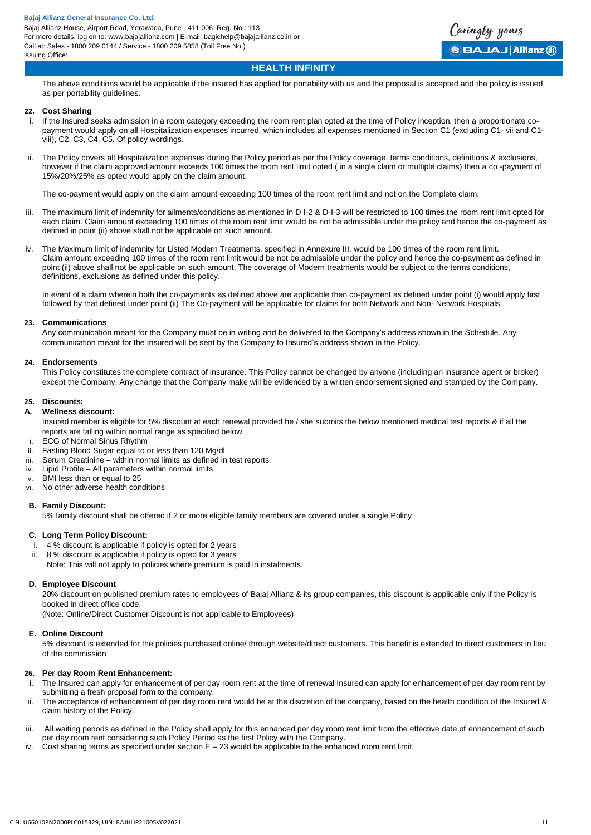

# **HEALTH INFINITY**

The above conditions would be applicable if the insured has applied for portability with us and the proposal is accepted and the policy is issued as per portability guidelines.

# **22. Cost Sharing**

- i. If the Insured seeks admission in a room category exceeding the room rent plan opted at the time of Policy inception, then a proportionate copayment would apply on all Hospitalization expenses incurred, which includes all expenses mentioned in Section C1 (excluding C1- vii and C1 viii), C2, C3, C4, C5. Of policy wordings.
- ii. The Policy covers all Hospitalization expenses during the Policy period as per the Policy coverage, terms conditions, definitions & exclusions, however if the claim approved amount exceeds 100 times the room rent limit opted ( in a single claim or multiple claims) then a co -payment of 15%/20%/25% as opted would apply on the claim amount.

The co-payment would apply on the claim amount exceeding 100 times of the room rent limit and not on the Complete claim.

- iii. The maximum limit of indemnity for ailments/conditions as mentioned in D I-2 & D-I-3 will be restricted to 100 times the room rent limit opted for each claim. Claim amount exceeding 100 times of the room rent limit would be not be admissible under the policy and hence the co-payment as defined in point (ii) above shall not be applicable on such amount.
- iv. The Maximum limit of indemnity for Listed Modern Treatments, specified in Annexure III, would be 100 times of the room rent limit. Claim amount exceeding 100 times of the room rent limit would be not be admissible under the policy and hence the co-payment as defined in point (ii) above shall not be applicable on such amount. The coverage of Modern treatments would be subject to the terms conditions, definitions, exclusions as defined under this policy.

In event of a claim wherein both the co-payments as defined above are applicable then co-payment as defined under point (i) would apply first followed by that defined under point (ii) The Co-payment will be applicable for claims for both Network and Non- Network Hospitals

## **23. Communications**

Any communication meant for the Company must be in writing and be delivered to the Company's address shown in the Schedule. Any communication meant for the Insured will be sent by the Company to Insured's address shown in the Policy.

#### **24. Endorsements**

This Policy constitutes the complete contract of insurance. This Policy cannot be changed by anyone (including an insurance agent or broker) except the Company. Any change that the Company make will be evidenced by a written endorsement signed and stamped by the Company.

#### **25. Discounts:**

#### **A. Wellness discount:**

Insured member is eligible for 5% discount at each renewal provided he / she submits the below mentioned medical test reports & if all the reports are falling within normal range as specified below

- i. ECG of Normal Sinus Rhythm<br>ii. Fasting Blood Sugar equal to o
- Fasting Blood Sugar equal to or less than 120 Mg/dl
- iii. Serum Creatinine within normal limits as defined in test reports
- iv. Lipid Profile All parameters within normal limits
- v. BMI less than or equal to 25
- vi. No other adverse health conditions

## **B. Family Discount:**

5% family discount shall be offered if 2 or more eligible family members are covered under a single Policy

## **C. Long Term Policy Discount:**

- 4 % discount is applicable if policy is opted for 2 years
- ii. 8 % discount is applicable if policy is opted for 3 years
- Note: This will not apply to policies where premium is paid in instalments.

## **D. Employee Discount**

20% discount on published premium rates to employees of Bajaj Allianz & its group companies, this discount is applicable only if the Policy is booked in direct office code.

(Note: Online/Direct Customer Discount is not applicable to Employees)

#### **E. Online Discount**

5% discount is extended for the policies purchased online/ through website/direct customers. This benefit is extended to direct customers in lieu of the commission

# **26. Per day Room Rent Enhancement:**

- i. The Insured can apply for enhancement of per day room rent at the time of renewal Insured can apply for enhancement of per day room rent by submitting a fresh proposal form to the company.
- ii. The acceptance of enhancement of per day room rent would be at the discretion of the company, based on the health condition of the Insured & claim history of the Policy.
- iii. All waiting periods as defined in the Policy shall apply for this enhanced per day room rent limit from the effective date of enhancement of such per day room rent considering such Policy Period as the first Policy with the Company.
- iv. Cost sharing terms as specified under section E 23 would be applicable to the enhanced room rent limit.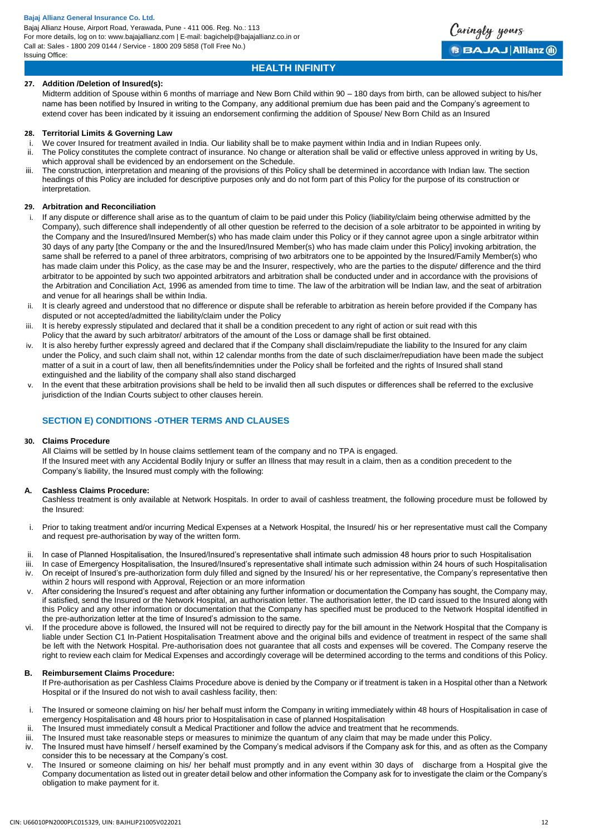

# **HEALTH INFINITY**

# **27. Addition /Deletion of Insured(s):**

Midterm addition of Spouse within 6 months of marriage and New Born Child within 90 – 180 days from birth, can be allowed subject to his/her name has been notified by Insured in writing to the Company, any additional premium due has been paid and the Company's agreement to extend cover has been indicated by it issuing an endorsement confirming the addition of Spouse/ New Born Child as an Insured

# **28. Territorial Limits & Governing Law**

- i. We cover Insured for treatment availed in India. Our liability shall be to make payment within India and in Indian Rupees only.
- ii. The Policy constitutes the complete contract of insurance. No change or alteration shall be valid or effective unless approved in writing by Us, which approval shall be evidenced by an endorsement on the Schedule.
- iii. The construction, interpretation and meaning of the provisions of this Policy shall be determined in accordance with Indian law. The section headings of this Policy are included for descriptive purposes only and do not form part of this Policy for the purpose of its construction or interpretation.

# **29. Arbitration and Reconciliation**

- i. If any dispute or difference shall arise as to the quantum of claim to be paid under this Policy (liability/claim being otherwise admitted by the Company), such difference shall independently of all other question be referred to the decision of a sole arbitrator to be appointed in writing by the Company and the Insured/Insured Member(s) who has made claim under this Policy or if they cannot agree upon a single arbitrator within 30 days of any party [the Company or the and the Insured/Insured Member(s) who has made claim under this Policy] invoking arbitration, the same shall be referred to a panel of three arbitrators, comprising of two arbitrators one to be appointed by the Insured/Family Member(s) who has made claim under this Policy, as the case may be and the Insurer, respectively, who are the parties to the dispute/ difference and the third arbitrator to be appointed by such two appointed arbitrators and arbitration shall be conducted under and in accordance with the provisions of the Arbitration and Conciliation Act, 1996 as amended from time to time. The law of the arbitration will be Indian law, and the seat of arbitration and venue for all hearings shall be within India.
- It is clearly agreed and understood that no difference or dispute shall be referable to arbitration as herein before provided if the Company has disputed or not accepted/admitted the liability/claim under the Policy
- iii. It is hereby expressly stipulated and declared that it shall be a condition precedent to any right of action or suit read with this Policy that the award by such arbitrator/ arbitrators of the amount of the Loss or damage shall be first obtained.
- iv. It is also hereby further expressly agreed and declared that if the Company shall disclaim/repudiate the liability to the Insured for any claim under the Policy, and such claim shall not, within 12 calendar months from the date of such disclaimer/repudiation have been made the subject matter of a suit in a court of law, then all benefits/indemnities under the Policy shall be forfeited and the rights of Insured shall stand extinguished and the liability of the company shall also stand discharged
- v. In the event that these arbitration provisions shall be held to be invalid then all such disputes or differences shall be referred to the exclusive jurisdiction of the Indian Courts subject to other clauses herein.

# **SECTION E) CONDITIONS -OTHER TERMS AND CLAUSES**

## **30. Claims Procedure**

All Claims will be settled by In house claims settlement team of the company and no TPA is engaged. If the Insured meet with any Accidental Bodily Injury or suffer an Illness that may result in a claim, then as a condition precedent to the Company's liability, the Insured must comply with the following:

## **A. Cashless Claims Procedure:**

Cashless treatment is only available at Network Hospitals. In order to avail of cashless treatment, the following procedure must be followed by the Insured:

- i. Prior to taking treatment and/or incurring Medical Expenses at a Network Hospital, the Insured/ his or her representative must call the Company and request pre-authorisation by way of the written form.
- ii. In case of Planned Hospitalisation, the Insured/Insured's representative shall intimate such admission 48 hours prior to such Hospitalisation
- iii. In case of Emergency Hospitalisation, the Insured/Insured's representative shall intimate such admission within 24 hours of such Hospitalisation
- iv. On receipt of Insured's pre-authorization form duly filled and signed by the Insured/ his or her representative, the Company's representative then within 2 hours will respond with Approval, Rejection or an more information
- v. After considering the Insured's request and after obtaining any further information or documentation the Company has sought, the Company may, if satisfied, send the Insured or the Network Hospital, an authorisation letter. The authorisation letter, the ID card issued to the Insured along with this Policy and any other information or documentation that the Company has specified must be produced to the Network Hospital identified in the pre-authorization letter at the time of Insured's admission to the same.
- vi. If the procedure above is followed, the Insured will not be required to directly pay for the bill amount in the Network Hospital that the Company is liable under Section C1 In-Patient Hospitalisation Treatment above and the original bills and evidence of treatment in respect of the same shall be left with the Network Hospital. Pre-authorisation does not guarantee that all costs and expenses will be covered. The Company reserve the right to review each claim for Medical Expenses and accordingly coverage will be determined according to the terms and conditions of this Policy.

## **B. Reimbursement Claims Procedure:**

If Pre-authorisation as per Cashless Claims Procedure above is denied by the Company or if treatment is taken in a Hospital other than a Network Hospital or if the Insured do not wish to avail cashless facility, then:

- i. The Insured or someone claiming on his/ her behalf must inform the Company in writing immediately within 48 hours of Hospitalisation in case of emergency Hospitalisation and 48 hours prior to Hospitalisation in case of planned Hospitalisation
- ii. The Insured must immediately consult a Medical Practitioner and follow the advice and treatment that he recommends.
- iii. The Insured must take reasonable steps or measures to minimize the quantum of any claim that may be made under this Policy.
- iv. The Insured must have himself / herself examined by the Company's medical advisors if the Company ask for this, and as often as the Company consider this to be necessary at the Company's cost.
- v. The Insured or someone claiming on his/ her behalf must promptly and in any event within 30 days of discharge from a Hospital give the Company documentation as listed out in greater detail below and other information the Company ask for to investigate the claim or the Company's obligation to make payment for it.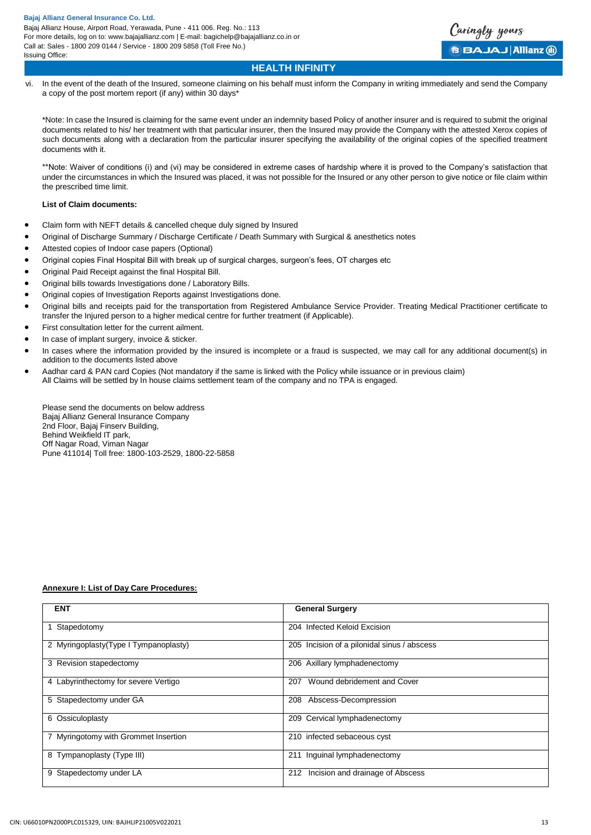

# **HEALTH INFINITY**

vi. In the event of the death of the Insured, someone claiming on his behalf must inform the Company in writing immediately and send the Company a copy of the post mortem report (if any) within 30 days\*

\*Note: In case the Insured is claiming for the same event under an indemnity based Policy of another insurer and is required to submit the original documents related to his/ her treatment with that particular insurer, then the Insured may provide the Company with the attested Xerox copies of such documents along with a declaration from the particular insurer specifying the availability of the original copies of the specified treatment documents with it.

\*\*Note: Waiver of conditions (i) and (vi) may be considered in extreme cases of hardship where it is proved to the Company's satisfaction that under the circumstances in which the Insured was placed, it was not possible for the Insured or any other person to give notice or file claim within the prescribed time limit.

# **List of Claim documents:**

- Claim form with NEFT details & cancelled cheque duly signed by Insured
- Original of Discharge Summary / Discharge Certificate / Death Summary with Surgical & anesthetics notes
- Attested copies of Indoor case papers (Optional)
- Original copies Final Hospital Bill with break up of surgical charges, surgeon's fees, OT charges etc
- Original Paid Receipt against the final Hospital Bill.
- Original bills towards Investigations done / Laboratory Bills.
- Original copies of Investigation Reports against Investigations done.
- Original bills and receipts paid for the transportation from Registered Ambulance Service Provider. Treating Medical Practitioner certificate to transfer the Injured person to a higher medical centre for further treatment (if Applicable).
- First consultation letter for the current ailment.
- In case of implant surgery, invoice & sticker.
- In cases where the information provided by the insured is incomplete or a fraud is suspected, we may call for any additional document(s) in addition to the documents listed above
- Aadhar card & PAN card Copies (Not mandatory if the same is linked with the Policy while issuance or in previous claim) All Claims will be settled by In house claims settlement team of the company and no TPA is engaged.

Please send the documents on below address Bajaj Allianz General Insurance Company 2nd Floor, Bajaj Finserv Building, Behind Weikfield IT park, Off Nagar Road, Viman Nagar Pune 411014| Toll free: 1800-103-2529, 1800-22-5858

# **Annexure I: List of Day Care Procedures:**

| <b>ENT</b>                             | <b>General Surgery</b>                      |
|----------------------------------------|---------------------------------------------|
| 1 Stapedotomy                          | 204 Infected Keloid Excision                |
| 2 Myringoplasty (Type I Tympanoplasty) | 205 Incision of a pilonidal sinus / abscess |
| 3 Revision stapedectomy                | 206 Axillary lymphadenectomy                |
| 4 Labyrinthectomy for severe Vertigo   | Wound debridement and Cover<br>207          |
| 5 Stapedectomy under GA                | 208 Abscess-Decompression                   |
| 6 Ossiculoplasty                       | 209 Cervical lymphadenectomy                |
| 7 Myringotomy with Grommet Insertion   | 210 infected sebaceous cyst                 |
| 8 Tympanoplasty (Type III)             | 211 Inguinal lymphadenectomy                |
| 9 Stapedectomy under LA                | Incision and drainage of Abscess<br>212     |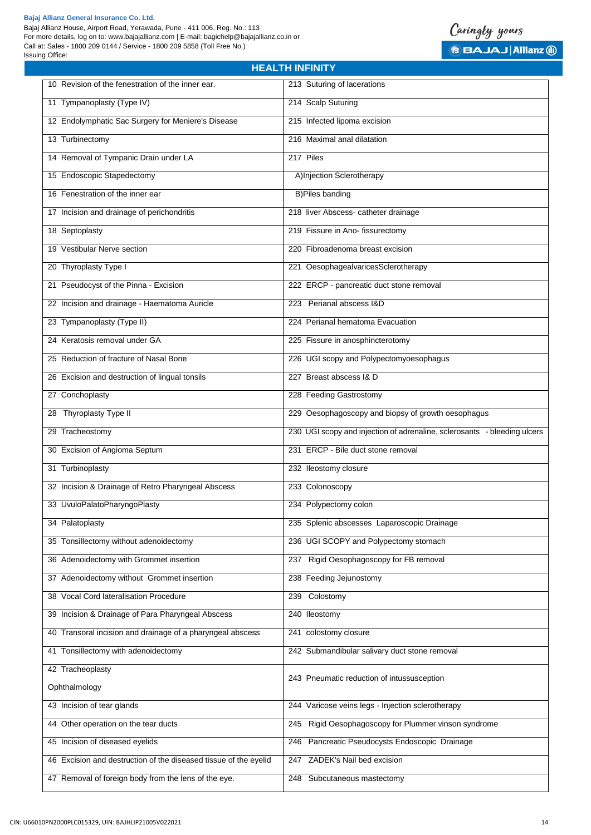

Issuing Office:

| 10 Revision of the fenestration of the inner ear.                | 213 Suturing of lacerations                                              |
|------------------------------------------------------------------|--------------------------------------------------------------------------|
| 11 Tympanoplasty (Type IV)                                       | 214 Scalp Suturing                                                       |
| 12 Endolymphatic Sac Surgery for Meniere's Disease               | 215 Infected lipoma excision                                             |
| 13 Turbinectomy                                                  | 216 Maximal anal dilatation                                              |
| 14 Removal of Tympanic Drain under LA                            | 217 Piles                                                                |
| 15 Endoscopic Stapedectomy                                       | A)Injection Sclerotherapy                                                |
| 16 Fenestration of the inner ear                                 | <b>B)Piles banding</b>                                                   |
| 17 Incision and drainage of perichondritis                       | 218 liver Abscess- catheter drainage                                     |
| 18 Septoplasty                                                   | 219 Fissure in Ano- fissurectomy                                         |
| 19 Vestibular Nerve section                                      | 220 Fibroadenoma breast excision                                         |
| 20 Thyroplasty Type I                                            | 221 OesophagealvaricesSclerotherapy                                      |
| 21 Pseudocyst of the Pinna - Excision                            | 222 ERCP - pancreatic duct stone removal                                 |
| 22 Incision and drainage - Haematoma Auricle                     | 223 Perianal abscess I&D                                                 |
| 23 Tympanoplasty (Type II)                                       | 224 Perianal hematoma Evacuation                                         |
| 24 Keratosis removal under GA                                    | 225 Fissure in anosphincterotomy                                         |
| 25 Reduction of fracture of Nasal Bone                           | 226 UGI scopy and Polypectomyoesophagus                                  |
| 26 Excision and destruction of lingual tonsils                   | 227 Breast abscess I& D                                                  |
| 27 Conchoplasty                                                  | 228 Feeding Gastrostomy                                                  |
| 28 Thyroplasty Type II                                           | 229 Oesophagoscopy and biopsy of growth oesophagus                       |
| 29 Tracheostomy                                                  | 230 UGI scopy and injection of adrenaline, sclerosants - bleeding ulcers |
| 30 Excision of Angioma Septum                                    | 231 ERCP - Bile duct stone removal                                       |
| 31 Turbinoplasty                                                 | 232 Ileostomy closure                                                    |
| 32 Incision & Drainage of Retro Pharyngeal Abscess               | 233 Colonoscopy                                                          |
| 33 UvuloPalatoPharyngoPlasty                                     | 234 Polypectomy colon                                                    |
| 34 Palatoplasty                                                  | 235 Splenic abscesses Laparoscopic Drainage                              |
| 35 Tonsillectomy without adenoidectomy                           | 236 UGI SCOPY and Polypectomy stomach                                    |
| 36 Adenoidectomy with Grommet insertion                          | 237 Rigid Oesophagoscopy for FB removal                                  |
| 37 Adenoidectomy without Grommet insertion                       | 238 Feeding Jejunostomy                                                  |
| 38 Vocal Cord lateralisation Procedure                           | 239 Colostomy                                                            |
| 39 Incision & Drainage of Para Pharyngeal Abscess                | 240 Ileostomy                                                            |
| 40 Transoral incision and drainage of a pharyngeal abscess       | 241 colostomy closure                                                    |
| 41 Tonsillectomy with adenoidectomy                              | 242 Submandibular salivary duct stone removal                            |
| 42 Tracheoplasty                                                 | 243 Pneumatic reduction of intussusception                               |
| Ophthalmology                                                    |                                                                          |
| 43 Incision of tear glands                                       | 244 Varicose veins legs - Injection sclerotherapy                        |
| 44 Other operation on the tear ducts                             | 245 Rigid Oesophagoscopy for Plummer vinson syndrome                     |
| 45 Incision of diseased eyelids                                  | 246 Pancreatic Pseudocysts Endoscopic Drainage                           |
| 46 Excision and destruction of the diseased tissue of the eyelid | 247 ZADEK's Nail bed excision                                            |
| 47 Removal of foreign body from the lens of the eye.             | 248 Subcutaneous mastectomy                                              |

**HEALTH INFINITY**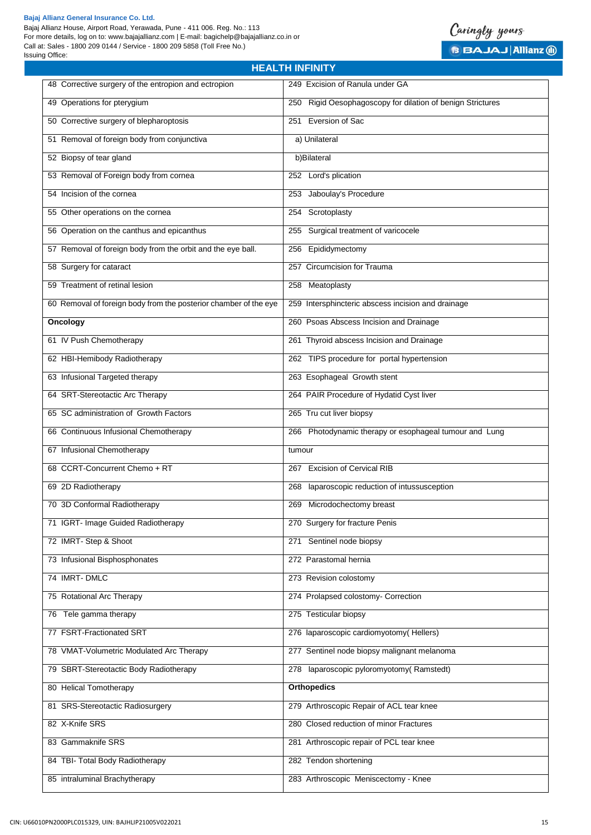



| 48 Corrective surgery of the entropion and ectropion             | 249 Excision of Ranula under GA                               |
|------------------------------------------------------------------|---------------------------------------------------------------|
| 49 Operations for pterygium                                      | Rigid Oesophagoscopy for dilation of benign Strictures<br>250 |
| 50 Corrective surgery of blepharoptosis                          | 251 Eversion of Sac                                           |
| 51 Removal of foreign body from conjunctiva                      | a) Unilateral                                                 |
| 52 Biopsy of tear gland                                          | b)Bilateral                                                   |
| 53 Removal of Foreign body from cornea                           | 252 Lord's plication                                          |
| 54 Incision of the cornea                                        | 253 Jaboulay's Procedure                                      |
| 55 Other operations on the cornea                                | 254 Scrotoplasty                                              |
| 56 Operation on the canthus and epicanthus                       | 255 Surgical treatment of varicocele                          |
| 57 Removal of foreign body from the orbit and the eye ball.      | 256 Epididymectomy                                            |
| 58 Surgery for cataract                                          | 257 Circumcision for Trauma                                   |
| 59 Treatment of retinal lesion                                   | 258 Meatoplasty                                               |
| 60 Removal of foreign body from the posterior chamber of the eye | 259 Intersphincteric abscess incision and drainage            |
| Oncology                                                         | 260 Psoas Abscess Incision and Drainage                       |
| 61 IV Push Chemotherapy                                          | 261 Thyroid abscess Incision and Drainage                     |
| 62 HBI-Hemibody Radiotherapy                                     | 262 TIPS procedure for portal hypertension                    |
| 63 Infusional Targeted therapy                                   | 263 Esophageal Growth stent                                   |
| 64 SRT-Stereotactic Arc Therapy                                  | 264 PAIR Procedure of Hydatid Cyst liver                      |
| 65 SC administration of Growth Factors                           | 265 Tru cut liver biopsy                                      |
| 66 Continuous Infusional Chemotherapy                            | 266 Photodynamic therapy or esophageal tumour and Lung        |
| 67 Infusional Chemotherapy                                       | tumour                                                        |
| 68 CCRT-Concurrent Chemo + RT                                    | 267 Excision of Cervical RIB                                  |
| 69 2D Radiotherapy                                               | 268 laparoscopic reduction of intussusception                 |
| 70 3D Conformal Radiotherapy                                     | 269 Microdochectomy breast                                    |
| 71 IGRT- Image Guided Radiotherapy                               | 270 Surgery for fracture Penis                                |
| 72 IMRT-Step & Shoot                                             | 271 Sentinel node biopsy                                      |
| 73 Infusional Bisphosphonates                                    | 272 Parastomal hernia                                         |
| 74 IMRT-DMLC                                                     | 273 Revision colostomy                                        |
| 75 Rotational Arc Therapy                                        | 274 Prolapsed colostomy- Correction                           |
| 76 Tele gamma therapy                                            | 275 Testicular biopsy                                         |
| 77 FSRT-Fractionated SRT                                         | 276 laparoscopic cardiomyotomy(Hellers)                       |
| 78 VMAT-Volumetric Modulated Arc Therapy                         | 277 Sentinel node biopsy malignant melanoma                   |
| 79 SBRT-Stereotactic Body Radiotherapy                           | 278 laparoscopic pyloromyotomy(Ramstedt)                      |
| 80 Helical Tomotherapy                                           | <b>Orthopedics</b>                                            |
| 81 SRS-Stereotactic Radiosurgery                                 | 279 Arthroscopic Repair of ACL tear knee                      |
| 82 X-Knife SRS                                                   | 280 Closed reduction of minor Fractures                       |
| 83 Gammaknife SRS                                                | 281 Arthroscopic repair of PCL tear knee                      |
| 84 TBI- Total Body Radiotherapy                                  | 282 Tendon shortening                                         |
| 85 intraluminal Brachytherapy                                    | 283 Arthroscopic Meniscectomy - Knee                          |

**HEALTH INFINITY**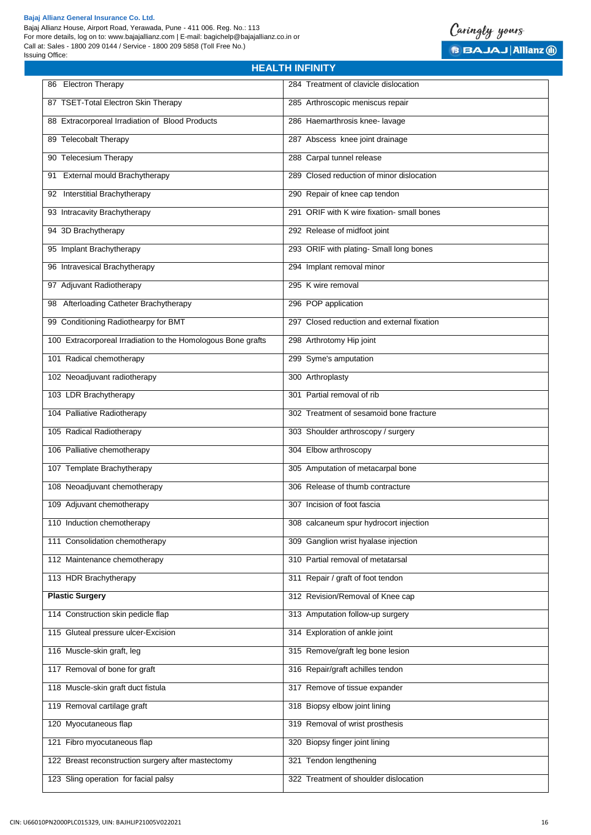

| <b>HEALTH INFINITY</b>                                       |                                            |  |
|--------------------------------------------------------------|--------------------------------------------|--|
| 86 Electron Therapy                                          | 284 Treatment of clavicle dislocation      |  |
| 87 TSET-Total Electron Skin Therapy                          | 285 Arthroscopic meniscus repair           |  |
| 88 Extracorporeal Irradiation of Blood Products              | 286 Haemarthrosis knee- lavage             |  |
| 89 Telecobalt Therapy                                        | 287 Abscess knee joint drainage            |  |
| 90 Telecesium Therapy                                        | 288 Carpal tunnel release                  |  |
| 91 External mould Brachytherapy                              | 289 Closed reduction of minor dislocation  |  |
| 92 Interstitial Brachytherapy                                | 290 Repair of knee cap tendon              |  |
| 93 Intracavity Brachytherapy                                 | 291 ORIF with K wire fixation- small bones |  |
| 94 3D Brachytherapy                                          | 292 Release of midfoot joint               |  |
| 95 Implant Brachytherapy                                     | 293 ORIF with plating- Small long bones    |  |
| 96 Intravesical Brachytherapy                                | 294 Implant removal minor                  |  |
| 97 Adjuvant Radiotherapy                                     | 295 K wire removal                         |  |
| Afterloading Catheter Brachytherapy<br>98                    | 296 POP application                        |  |
| 99 Conditioning Radiothearpy for BMT                         | 297 Closed reduction and external fixation |  |
| 100 Extracorporeal Irradiation to the Homologous Bone grafts | 298 Arthrotomy Hip joint                   |  |
| 101 Radical chemotherapy                                     | 299 Syme's amputation                      |  |
| 102 Neoadjuvant radiotherapy                                 | 300 Arthroplasty                           |  |
| 103 LDR Brachytherapy                                        | 301 Partial removal of rib                 |  |
| 104 Palliative Radiotherapy                                  | 302 Treatment of sesamoid bone fracture    |  |
| 105 Radical Radiotherapy                                     | 303 Shoulder arthroscopy / surgery         |  |
| 106 Palliative chemotherapy                                  | 304 Elbow arthroscopy                      |  |
| 107 Template Brachytherapy                                   | 305 Amputation of metacarpal bone          |  |
| 108 Neoadjuvant chemotherapy                                 | 306 Release of thumb contracture           |  |
| 109 Adjuvant chemotherapy                                    | 307 Incision of foot fascia                |  |
| 110 Induction chemotherapy                                   | 308 calcaneum spur hydrocort injection     |  |
| 111 Consolidation chemotherapy                               | 309 Ganglion wrist hyalase injection       |  |
| 112 Maintenance chemotherapy                                 | 310 Partial removal of metatarsal          |  |
| 113 HDR Brachytherapy                                        | 311 Repair / graft of foot tendon          |  |
| <b>Plastic Surgery</b>                                       | 312 Revision/Removal of Knee cap           |  |
| 114 Construction skin pedicle flap                           | 313 Amputation follow-up surgery           |  |
| 115 Gluteal pressure ulcer-Excision                          | 314 Exploration of ankle joint             |  |
| 116 Muscle-skin graft, leg                                   | 315 Remove/graft leg bone lesion           |  |
| 117 Removal of bone for graft                                | 316 Repair/graft achilles tendon           |  |
| 118 Muscle-skin graft duct fistula                           | 317 Remove of tissue expander              |  |
| 119 Removal cartilage graft                                  | 318 Biopsy elbow joint lining              |  |
| 120 Myocutaneous flap                                        | 319 Removal of wrist prosthesis            |  |
| 121 Fibro myocutaneous flap                                  | 320 Biopsy finger joint lining             |  |
| 122 Breast reconstruction surgery after mastectomy           | 321 Tendon lengthening                     |  |
| 123 Sling operation for facial palsy                         | 322 Treatment of shoulder dislocation      |  |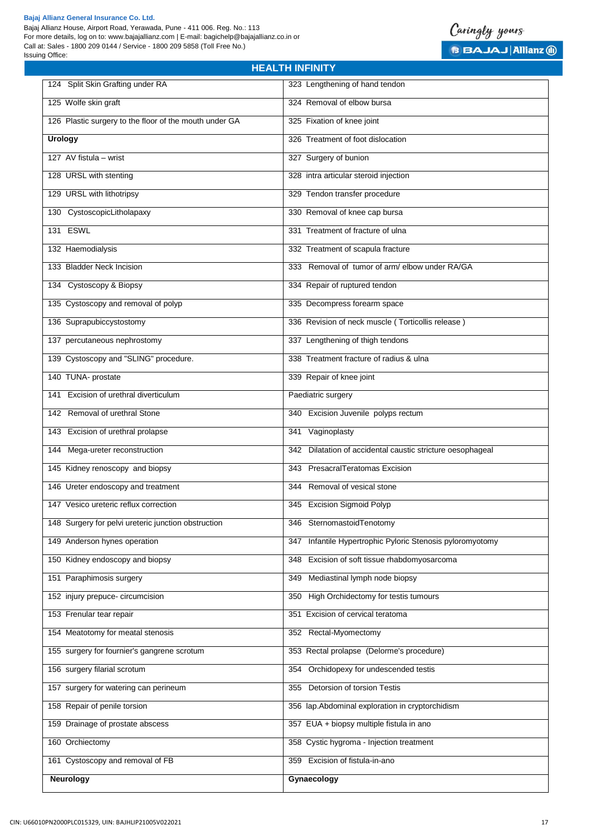



| 124 Split Skin Grafting under RA                       | 323 Lengthening of hand tendon                               |
|--------------------------------------------------------|--------------------------------------------------------------|
| 125 Wolfe skin graft                                   | 324 Removal of elbow bursa                                   |
| 126 Plastic surgery to the floor of the mouth under GA | 325 Fixation of knee joint                                   |
| <b>Urology</b>                                         | 326 Treatment of foot dislocation                            |
| 127 AV fistula - wrist                                 | 327 Surgery of bunion                                        |
| 128 URSL with stenting                                 | 328 intra articular steroid injection                        |
| 129 URSL with lithotripsy                              | 329 Tendon transfer procedure                                |
| 130 CystoscopicLitholapaxy                             | 330 Removal of knee cap bursa                                |
| 131 ESWL                                               | 331 Treatment of fracture of ulna                            |
| 132 Haemodialysis                                      | 332 Treatment of scapula fracture                            |
| 133 Bladder Neck Incision                              | 333 Removal of tumor of arm/elbow under RA/GA                |
| 134 Cystoscopy & Biopsy                                | 334 Repair of ruptured tendon                                |
| 135 Cystoscopy and removal of polyp                    | 335 Decompress forearm space                                 |
| 136 Suprapubiccystostomy                               | 336 Revision of neck muscle (Torticollis release)            |
| 137 percutaneous nephrostomy                           | 337 Lengthening of thigh tendons                             |
| 139 Cystoscopy and "SLING" procedure.                  | 338 Treatment fracture of radius & ulna                      |
| 140 TUNA- prostate                                     | 339 Repair of knee joint                                     |
| 141 Excision of urethral diverticulum                  | Paediatric surgery                                           |
| 142 Removal of urethral Stone                          | 340 Excision Juvenile polyps rectum                          |
| 143 Excision of urethral prolapse                      | 341 Vaginoplasty                                             |
| 144 Mega-ureter reconstruction                         | 342 Dilatation of accidental caustic stricture oesophageal   |
| 145 Kidney renoscopy and biopsy                        | 343 PresacralTeratomas Excision                              |
| 146 Ureter endoscopy and treatment                     | 344 Removal of vesical stone                                 |
| 147 Vesico ureteric reflux correction                  | 345 Excision Sigmoid Polyp                                   |
| 148 Surgery for pelvi ureteric junction obstruction    | 346 SternomastoidTenotomy                                    |
| 149 Anderson hynes operation                           | Infantile Hypertrophic Pyloric Stenosis pyloromyotomy<br>347 |
| 150 Kidney endoscopy and biopsy                        | 348 Excision of soft tissue rhabdomyosarcoma                 |
| 151 Paraphimosis surgery                               | Mediastinal lymph node biopsy<br>349                         |
| 152 injury prepuce- circumcision                       | High Orchidectomy for testis tumours<br>350                  |
| 153 Frenular tear repair                               | 351 Excision of cervical teratoma                            |
| 154 Meatotomy for meatal stenosis                      | 352 Rectal-Myomectomy                                        |
| 155 surgery for fournier's gangrene scrotum            | 353 Rectal prolapse (Delorme's procedure)                    |
| 156 surgery filarial scrotum                           | 354 Orchidopexy for undescended testis                       |
| 157 surgery for watering can perineum                  | 355 Detorsion of torsion Testis                              |
| 158 Repair of penile torsion                           | 356 lap.Abdominal exploration in cryptorchidism              |
| 159 Drainage of prostate abscess                       | 357 EUA + biopsy multiple fistula in ano                     |
| 160 Orchiectomy                                        | 358 Cystic hygroma - Injection treatment                     |
| 161 Cystoscopy and removal of FB                       | 359 Excision of fistula-in-ano                               |
| <b>Neurology</b>                                       | Gynaecology                                                  |

**HEALTH INFINITY**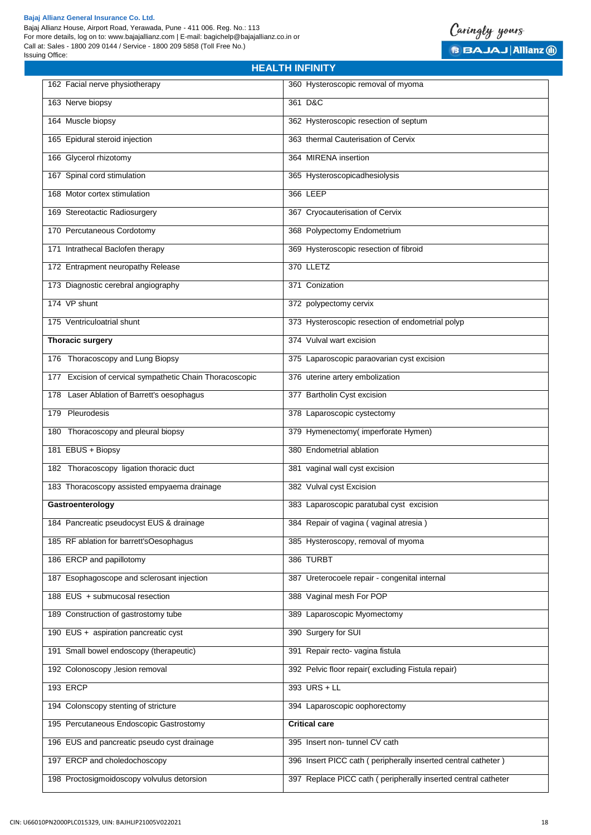#### **Bajaj Allianz General Insurance Co. Ltd.**

Bajaj Allianz House, Airport Road, Yerawada, Pune - 411 006. Reg. No.: 113 For more details, log on to: www.bajajallianz.com | E-mail: bagichelp@bajajallianz.co.in or Call at: Sales - 1800 209 0144 / Service - 1800 209 5858 (Toll Free No.) Issuing Office:



| <b>HEALTH INFINITY</b>                                      |                                                                |  |
|-------------------------------------------------------------|----------------------------------------------------------------|--|
| 162 Facial nerve physiotherapy                              | 360 Hysteroscopic removal of myoma                             |  |
| 163 Nerve biopsy                                            | 361 D&C                                                        |  |
| 164 Muscle biopsy                                           | 362 Hysteroscopic resection of septum                          |  |
| 165 Epidural steroid injection                              | 363 thermal Cauterisation of Cervix                            |  |
| 166 Glycerol rhizotomy                                      | 364 MIRENA insertion                                           |  |
| 167 Spinal cord stimulation                                 | 365 Hysteroscopicadhesiolysis                                  |  |
| 168 Motor cortex stimulation                                | 366 LEEP                                                       |  |
| 169 Stereotactic Radiosurgery                               | 367 Cryocauterisation of Cervix                                |  |
| 170 Percutaneous Cordotomy                                  | 368 Polypectomy Endometrium                                    |  |
| 171 Intrathecal Baclofen therapy                            | 369 Hysteroscopic resection of fibroid                         |  |
| 172 Entrapment neuropathy Release                           | 370 LLETZ                                                      |  |
| 173 Diagnostic cerebral angiography                         | 371 Conization                                                 |  |
| 174 VP shunt                                                | 372 polypectomy cervix                                         |  |
| 175 Ventriculoatrial shunt                                  | 373 Hysteroscopic resection of endometrial polyp               |  |
| <b>Thoracic surgery</b>                                     | 374 Vulval wart excision                                       |  |
| 176 Thoracoscopy and Lung Biopsy                            | 375 Laparoscopic paraovarian cyst excision                     |  |
| Excision of cervical sympathetic Chain Thoracoscopic<br>177 | 376 uterine artery embolization                                |  |
| 178 Laser Ablation of Barrett's oesophagus                  | 377 Bartholin Cyst excision                                    |  |
| 179 Pleurodesis                                             | 378 Laparoscopic cystectomy                                    |  |
| 180 Thoracoscopy and pleural biopsy                         | 379 Hymenectomy(imperforate Hymen)                             |  |
| 181 EBUS + Biopsy                                           | 380 Endometrial ablation                                       |  |
| 182 Thoracoscopy ligation thoracic duct                     | 381 vaginal wall cyst excision                                 |  |
| 183 Thoracoscopy assisted empyaema drainage                 | 382 Vulval cyst Excision                                       |  |
| Gastroenterology                                            | 383 Laparoscopic paratubal cyst excision                       |  |
| 184 Pancreatic pseudocyst EUS & drainage                    | 384 Repair of vagina (vaginal atresia)                         |  |
| 185 RF ablation for barrett'sOesophagus                     | 385 Hysteroscopy, removal of myoma                             |  |
| 186 ERCP and papillotomy                                    | 386 TURBT                                                      |  |
| 187 Esophagoscope and sclerosant injection                  | 387 Ureterocoele repair - congenital internal                  |  |
| 188 EUS + submucosal resection                              | 388 Vaginal mesh For POP                                       |  |
| 189 Construction of gastrostomy tube                        | 389 Laparoscopic Myomectomy                                    |  |
| 190 EUS + aspiration pancreatic cyst                        | 390 Surgery for SUI                                            |  |
| 191 Small bowel endoscopy (therapeutic)                     | 391 Repair recto- vagina fistula                               |  |
| 192 Colonoscopy , lesion removal                            | 392 Pelvic floor repair(excluding Fistula repair)              |  |
| 193 ERCP                                                    | 393 URS + LL                                                   |  |
| 194 Colonscopy stenting of stricture                        | 394 Laparoscopic oophorectomy                                  |  |
| 195 Percutaneous Endoscopic Gastrostomy                     | <b>Critical care</b>                                           |  |
| 196 EUS and pancreatic pseudo cyst drainage                 | 395 Insert non-tunnel CV cath                                  |  |
| 197 ERCP and choledochoscopy                                | 396 Insert PICC cath (peripherally inserted central catheter)  |  |
| 198 Proctosigmoidoscopy volvulus detorsion                  | 397 Replace PICC cath ( peripherally inserted central catheter |  |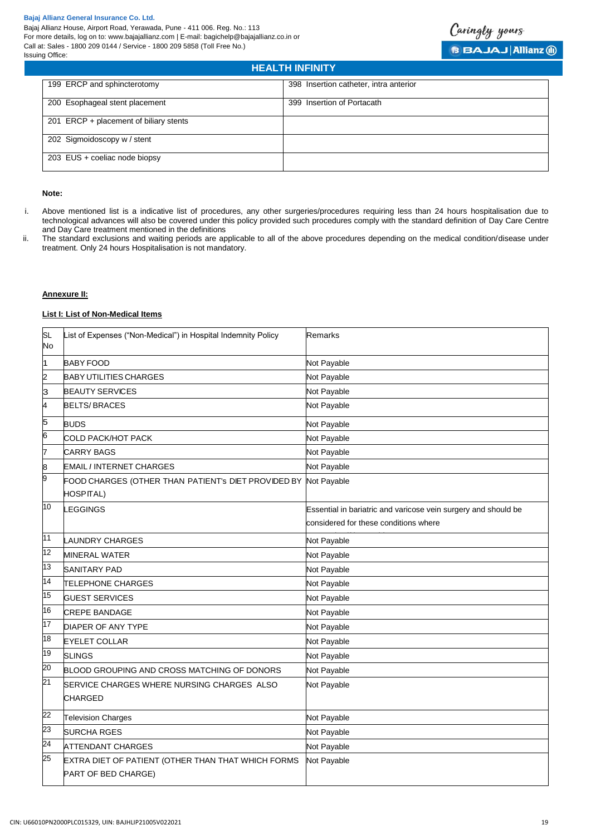

| <b>HEALTH INFINITY</b>                 |                                        |  |
|----------------------------------------|----------------------------------------|--|
| 199 ERCP and sphincterotomy            | 398 Insertion catheter, intra anterior |  |
| 200 Esophageal stent placement         | 399 Insertion of Portacath             |  |
| 201 ERCP + placement of biliary stents |                                        |  |
| 202 Sigmoidoscopy w / stent            |                                        |  |
| 203 EUS + coeliac node biopsy          |                                        |  |

# **Note:**

- i. Above mentioned list is a indicative list of procedures, any other surgeries/procedures requiring less than 24 hours hospitalisation due to technological advances will also be covered under this policy provided such procedures comply with the standard definition of Day Care Centre and Day Care treatment mentioned in the definitions
- ii. The standard exclusions and waiting periods are applicable to all of the above procedures depending on the medical condition/disease under treatment. Only 24 hours Hospitalisation is not mandatory.

#### **Annexure II:**

# **List I: List of Non-Medical Items**

| SL<br>No        | List of Expenses ("Non-Medical") in Hospital Indemnity Policy             | <b>Remarks</b>                                                                                          |
|-----------------|---------------------------------------------------------------------------|---------------------------------------------------------------------------------------------------------|
| 1               | <b>BABY FOOD</b>                                                          | Not Payable                                                                                             |
| 2               | <b>BABY UTILITIES CHARGES</b>                                             | Not Payable                                                                                             |
| 3               | <b>BEAUTY SERVICES</b>                                                    | Not Payable                                                                                             |
| 4               | <b>BELTS/BRACES</b>                                                       | Not Payable                                                                                             |
| 5               | <b>BUDS</b>                                                               | Not Payable                                                                                             |
| 6               | COLD PACK/HOT PACK                                                        | Not Payable                                                                                             |
| 7               | <b>CARRY BAGS</b>                                                         | Not Payable                                                                                             |
| 8               | <b>EMAIL / INTERNET CHARGES</b>                                           | Not Payable                                                                                             |
| 9               | FOOD CHARGES (OTHER THAN PATIENT's DIET PROVIDED BY                       | Not Payable                                                                                             |
|                 | HOSPITAL)                                                                 |                                                                                                         |
| 10              | <b>LEGGINGS</b>                                                           | Essential in bariatric and varicose vein surgery and should be<br>considered for these conditions where |
| 11              | <b>LAUNDRY CHARGES</b>                                                    | Not Payable                                                                                             |
| 12              | <b>MINERAL WATER</b>                                                      | Not Payable                                                                                             |
| 13              | <b>SANITARY PAD</b>                                                       | Not Payable                                                                                             |
| 14              | TELEPHONE CHARGES                                                         | Not Payable                                                                                             |
| 15              | <b>GUEST SERVICES</b>                                                     | Not Payable                                                                                             |
| 16              | <b>CREPE BANDAGE</b>                                                      | Not Payable                                                                                             |
| $\overline{17}$ | DIAPER OF ANY TYPE                                                        | Not Payable                                                                                             |
| 18              | <b>EYELET COLLAR</b>                                                      | Not Payable                                                                                             |
| 19              | <b>SLINGS</b>                                                             | Not Payable                                                                                             |
| 20              | BLOOD GROUPING AND CROSS MATCHING OF DONORS                               | Not Payable                                                                                             |
| 21              | SERVICE CHARGES WHERE NURSING CHARGES ALSO                                | Not Payable                                                                                             |
|                 | <b>CHARGED</b>                                                            |                                                                                                         |
| 22              | <b>Television Charges</b>                                                 | Not Payable                                                                                             |
| 23              | <b>SURCHA RGES</b>                                                        | Not Payable                                                                                             |
| 24              | <b>ATTENDANT CHARGES</b>                                                  | Not Payable                                                                                             |
| 25              | EXTRA DIET OF PATIENT (OTHER THAN THAT WHICH FORMS<br>PART OF BED CHARGE) | Not Payable                                                                                             |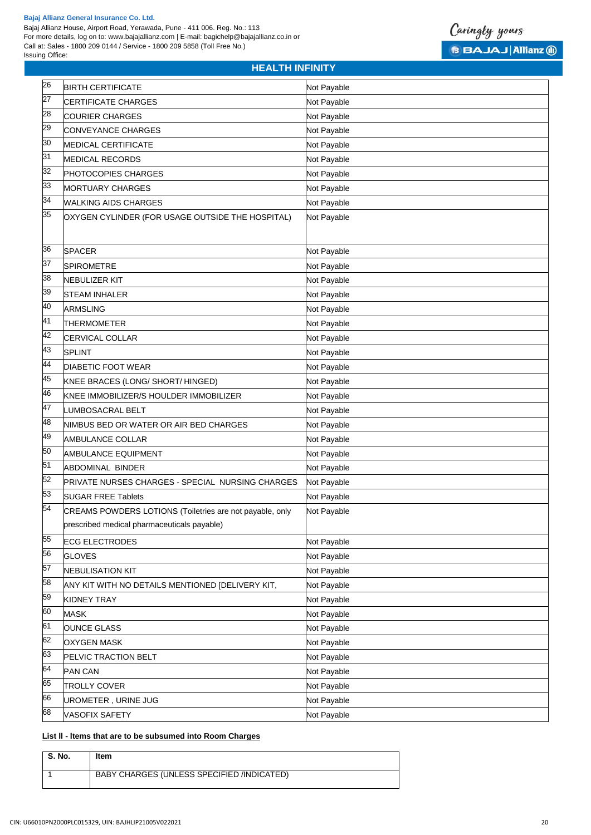Call at: Sales - 1800 209 0144 / Service - 1800 209 5858 (Toll Free No.)





| 26              | <b>BIRTH CERTIFICATE</b>                                                                                | Not Payable |
|-----------------|---------------------------------------------------------------------------------------------------------|-------------|
| 27              | <b>CERTIFICATE CHARGES</b>                                                                              | Not Payable |
| 8               | <b>COURIER CHARGES</b>                                                                                  | Not Payable |
| 67              | CONVEYANCE CHARGES                                                                                      | Not Payable |
| 30              | MEDICAL CERTIFICATE                                                                                     | Not Payable |
| 31              | MEDICAL RECORDS                                                                                         | Not Payable |
| $\overline{32}$ | PHOTOCOPIES CHARGES                                                                                     | Not Payable |
| 33              | <b>MORTUARY CHARGES</b>                                                                                 | Not Payable |
| 34              | <b>WALKING AIDS CHARGES</b>                                                                             | Not Payable |
| 35              | OXYGEN CYLINDER (FOR USAGE OUTSIDE THE HOSPITAL)                                                        | Not Payable |
| 36              | <b>SPACER</b>                                                                                           | Not Payable |
| 37              | <b>SPIROMETRE</b>                                                                                       | Not Payable |
| 38              | NEBULIZER KIT                                                                                           | Not Payable |
| 39              | <b>STEAM INHALER</b>                                                                                    | Not Payable |
| 40              | <b>ARMSLING</b>                                                                                         | Not Payable |
| 41              | <b>THERMOMETER</b>                                                                                      | Not Payable |
| 42              | CERVICAL COLLAR                                                                                         | Not Payable |
| 43              | <b>SPLINT</b>                                                                                           | Not Payable |
| 44              | <b>DIABETIC FOOT WEAR</b>                                                                               | Not Payable |
| 45              | KNEE BRACES (LONG/ SHORT/ HINGED)                                                                       | Not Payable |
| 46              | KNEE IMMOBILIZER/S HOULDER IMMOBILIZER                                                                  | Not Payable |
| 47              | <b>LUMBOSACRAL BELT</b>                                                                                 | Not Payable |
| 48              | NIMBUS BED OR WATER OR AIR BED CHARGES                                                                  | Not Payable |
| 49              | AMBULANCE COLLAR                                                                                        | Not Payable |
| 50              | AMBULANCE EQUIPMENT                                                                                     | Not Payable |
| 51              | ABDOMINAL BINDER                                                                                        | Not Payable |
| 52              | PRIVATE NURSES CHARGES - SPECIAL NURSING CHARGES                                                        | Not Payable |
| 53              | <b>SUGAR FREE Tablets</b>                                                                               | Not Payable |
| $\overline{54}$ | CREAMS POWDERS LOTIONS (Toiletries are not payable, only<br>prescribed medical pharmaceuticals payable) | Not Payable |
| 55              | <b>ECG ELECTRODES</b>                                                                                   | Not Payable |
| 56              | <b>GLOVES</b>                                                                                           | Not Payable |
| 57              | <b>NEBULISATION KIT</b>                                                                                 | Not Payable |
| 58              | ANY KIT WITH NO DETAILS MENTIONED [DELIVERY KIT,                                                        | Not Payable |
| 59              | <b>KIDNEY TRAY</b>                                                                                      | Not Payable |
| $\overline{0}$  | MASK                                                                                                    | Not Payable |
| 61              | <b>OUNCE GLASS</b>                                                                                      | Not Payable |
| 62              | <b>OXYGEN MASK</b>                                                                                      | Not Payable |
| 63              | PELVIC TRACTION BELT                                                                                    | Not Payable |
| 64              | <b>PAN CAN</b>                                                                                          | Not Payable |
| 65              | <b>TROLLY COVER</b>                                                                                     | Not Payable |
| 66              | UROMETER , URINE JUG                                                                                    | Not Payable |
| 68              | <b>VASOFIX SAFETY</b>                                                                                   | Not Payable |

**HEALTH INFINITY**

# **List ll - ltems that are to be subsumed into Room Charges**

| S. No. | ltem                                       |
|--------|--------------------------------------------|
|        | BABY CHARGES (UNLESS SPECIFIED /INDICATED) |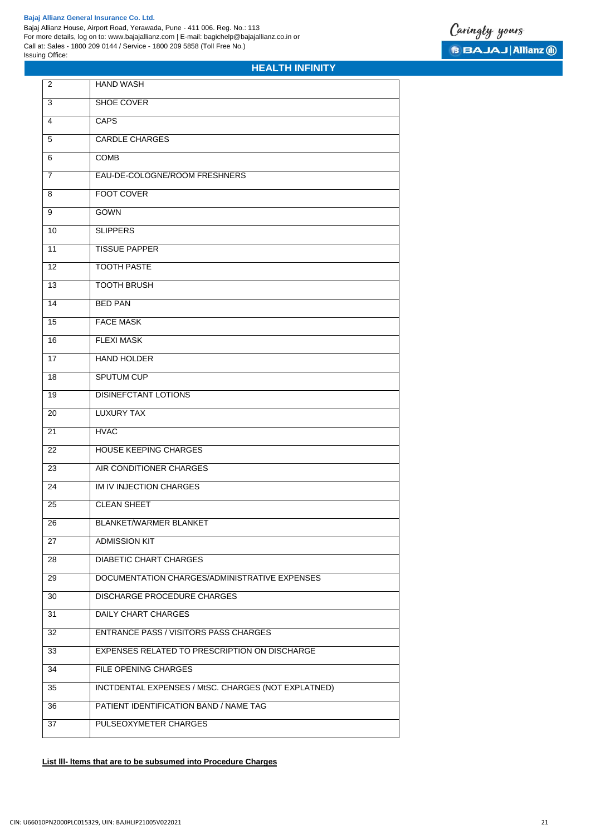

# **HEALTH INFINITY**

| 2              | <b>HAND WASH</b>                                    |
|----------------|-----------------------------------------------------|
| 3              | <b>SHOE COVER</b>                                   |
| $\overline{4}$ | <b>CAPS</b>                                         |
| 5              | <b>CARDLE CHARGES</b>                               |
| 6              | <b>COMB</b>                                         |
| 7              | EAU-DE-COLOGNE/ROOM FRESHNERS                       |
| 8              | <b>FOOT COVER</b>                                   |
| 9              | GOWN                                                |
| 10             | <b>SLIPPERS</b>                                     |
| 11             | <b>TISSUE PAPPER</b>                                |
| 12             | <b>TOOTH PASTE</b>                                  |
| 13             | <b>TOOTH BRUSH</b>                                  |
| 14             | <b>BED PAN</b>                                      |
| 15             | <b>FACE MASK</b>                                    |
| 16             | <b>FLEXI MASK</b>                                   |
| 17             | <b>HAND HOLDER</b>                                  |
| 18             | <b>SPUTUM CUP</b>                                   |
| 19             | DISINEFCTANT LOTIONS                                |
| 20             | <b>LUXURY TAX</b>                                   |
| 21             | <b>HVAC</b>                                         |
| 22             | HOUSE KEEPING CHARGES                               |
| 23             | AIR CONDITIONER CHARGES                             |
| 24             | <b>IM IV INJECTION CHARGES</b>                      |
| 25             | <b>CLEAN SHEET</b>                                  |
| 26             | BLANKET/WARMER BLANKET                              |
| 27             | <b>ADMISSION KIT</b>                                |
| 28             | <b>DIABETIC CHART CHARGES</b>                       |
| 29             | DOCUMENTATION CHARGES/ADMINISTRATIVE EXPENSES       |
| 30             | <b>DISCHARGE PROCEDURE CHARGES</b>                  |
| 31             | <b>DAILY CHART CHARGES</b>                          |
| 32             | <b>ENTRANCE PASS / VISITORS PASS CHARGES</b>        |
| 33             | EXPENSES RELATED TO PRESCRIPTION ON DISCHARGE       |
| 34             | <b>FILE OPENING CHARGES</b>                         |
| 35             | INCTDENTAL EXPENSES / MtSC. CHARGES (NOT EXPLATNED) |
| 36             | PATIENT IDENTIFICATION BAND / NAME TAG              |
| 37             | PULSEOXYMETER CHARGES                               |

# **List lll- ltems that are to be subsumed into Procedure Charges**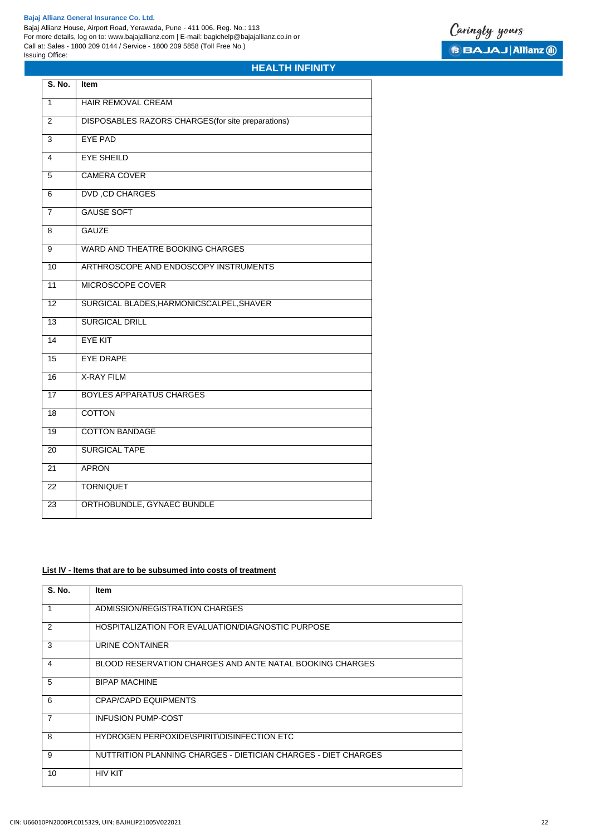# **HEALTH INFINITY**

| S. No.          | Item                                               |
|-----------------|----------------------------------------------------|
| $\mathbf{1}$    | <b>HAIR REMOVAL CREAM</b>                          |
| 2               | DISPOSABLES RAZORS CHARGES (for site preparations) |
| $\overline{3}$  | <b>EYE PAD</b>                                     |
| 4               | <b>EYE SHEILD</b>                                  |
| 5               | <b>CAMERA COVER</b>                                |
| 6               | <b>DVD, CD CHARGES</b>                             |
| $\overline{7}$  | <b>GAUSE SOFT</b>                                  |
| 8               | <b>GAUZE</b>                                       |
| 9               | WARD AND THEATRE BOOKING CHARGES                   |
| 10              | ARTHROSCOPE AND ENDOSCOPY INSTRUMENTS              |
| 11              | MICROSCOPE COVER                                   |
| 12              | SURGICAL BLADES, HARMONICSCALPEL, SHAVER           |
| 13              | <b>SURGICAL DRILL</b>                              |
| $\overline{14}$ | <b>EYE KIT</b>                                     |
| $\overline{15}$ | <b>EYE DRAPE</b>                                   |
| 16              | <b>X-RAY FILM</b>                                  |
| $\overline{17}$ | <b>BOYLES APPARATUS CHARGES</b>                    |
| 18              | <b>COTTON</b>                                      |
| 19              | <b>COTTON BANDAGE</b>                              |
| $\overline{20}$ | <b>SURGICAL TAPE</b>                               |
| 21              | <b>APRON</b>                                       |
| $\overline{22}$ | <b>TORNIQUET</b>                                   |
| 23              | ORTHOBUNDLE, GYNAEC BUNDLE                         |

# **List lV - ltems that are to be subsumed into costs of treatment**

| S. No.         | <b>Item</b>                                                    |
|----------------|----------------------------------------------------------------|
| 1              | ADMISSION/REGISTRATION CHARGES                                 |
| 2              | HOSPITALIZATION FOR EVALUATION/DIAGNOSTIC PURPOSE              |
| 3              | URINE CONTAINER                                                |
| 4              | BLOOD RESERVATION CHARGES AND ANTE NATAL BOOKING CHARGES       |
| 5              | <b>BIPAP MACHINE</b>                                           |
| 6              | <b>CPAP/CAPD EQUIPMENTS</b>                                    |
| $\overline{7}$ | <b>INFUSION PUMP-COST</b>                                      |
| 8              | HYDROGEN PERPOXIDE\SPIRIT\DISINFECTION ETC                     |
| 9              | NUTTRITION PLANNING CHARGES - DIETICIAN CHARGES - DIET CHARGES |
| 10             | <b>HIV KIT</b>                                                 |

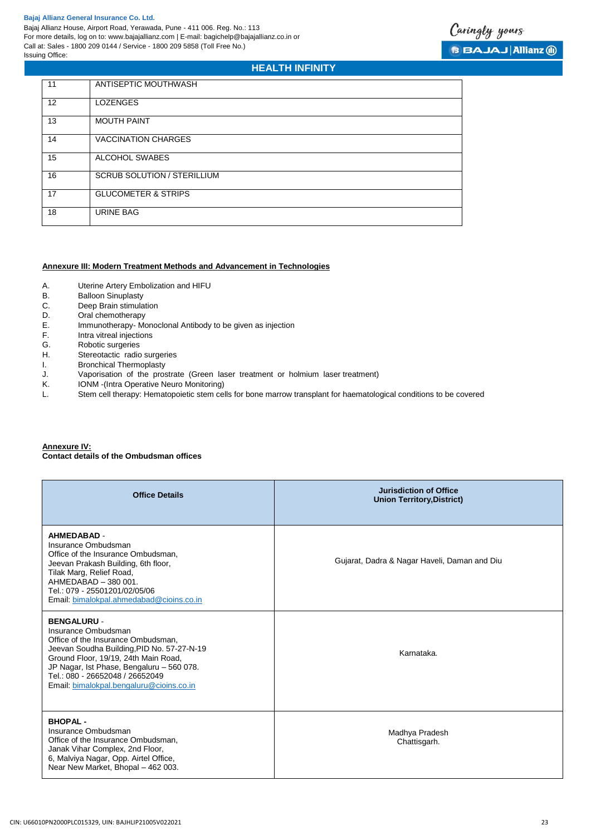

# **HEALTH INFINITY**

| 11                | ANTISEPTIC MOUTHWASH               |
|-------------------|------------------------------------|
| $12 \overline{ }$ | <b>LOZENGES</b>                    |
| 13                | <b>MOUTH PAINT</b>                 |
| 14                | <b>VACCINATION CHARGES</b>         |
| 15                | ALCOHOL SWABES                     |
| 16                | <b>SCRUB SOLUTION / STERILLIUM</b> |
| 17                | <b>GLUCOMETER &amp; STRIPS</b>     |
| 18                | <b>URINE BAG</b>                   |

# **Annexure III: Modern Treatment Methods and Advancement in Technologies**

- A. Uterine Artery Embolization and HIFU
- B. Balloon Sinuplasty
- C. Deep Brain stimulation<br>D. Oral chemotherapy
- D. Oral chemotherapy<br>E. Immunotherapy-Mo
- E. Immunotherapy- Monoclonal Antibody to be given as injection
- Intra vitreal injections
- G. Robotic surgeries
- H. Stereotactic radio surgeries<br>I. Bronchical Thermoplasty
- I. Bronchical Thermoplasty<br>J. Vaporisation of the pros
- J. Vaporisation of the prostrate (Green laser treatment or holmium laser treatment)
- IONM -(Intra Operative Neuro Monitoring)
- L. Stem cell therapy: Hematopoietic stem cells for bone marrow transplant for haematological conditions to be covered

# **Annexure IV:**

**Contact details of the Ombudsman offices**

| <b>Office Details</b>                                                                                                                                                                                                                                                                             | Jurisdiction of Office<br><b>Union Territory, District)</b> |
|---------------------------------------------------------------------------------------------------------------------------------------------------------------------------------------------------------------------------------------------------------------------------------------------------|-------------------------------------------------------------|
| <b>AHMEDABAD -</b><br>Insurance Ombudsman<br>Office of the Insurance Ombudsman,<br>Jeevan Prakash Building, 6th floor,<br>Tilak Marg, Relief Road,<br>AHMEDABAD - 380 001.<br>Tel.: 079 - 25501201/02/05/06<br>Email: bimalokpal.ahmedabad@cioins.co.in                                           | Gujarat, Dadra & Nagar Haveli, Daman and Diu                |
| <b>BENGALURU -</b><br>Insurance Ombudsman<br>Office of the Insurance Ombudsman,<br>Jeevan Soudha Building, PID No. 57-27-N-19<br>Ground Floor, 19/19, 24th Main Road,<br>JP Nagar, Ist Phase, Bengaluru - 560 078.<br>Tel.: 080 - 26652048 / 26652049<br>Email: bimalokpal.bengaluru@cioins.co.in | Karnataka.                                                  |
| <b>BHOPAL-</b><br>Insurance Ombudsman<br>Office of the Insurance Ombudsman,<br>Janak Vihar Complex, 2nd Floor,<br>6, Malviya Nagar, Opp. Airtel Office,<br>Near New Market, Bhopal - 462 003.                                                                                                     | Madhya Pradesh<br>Chattisgarh.                              |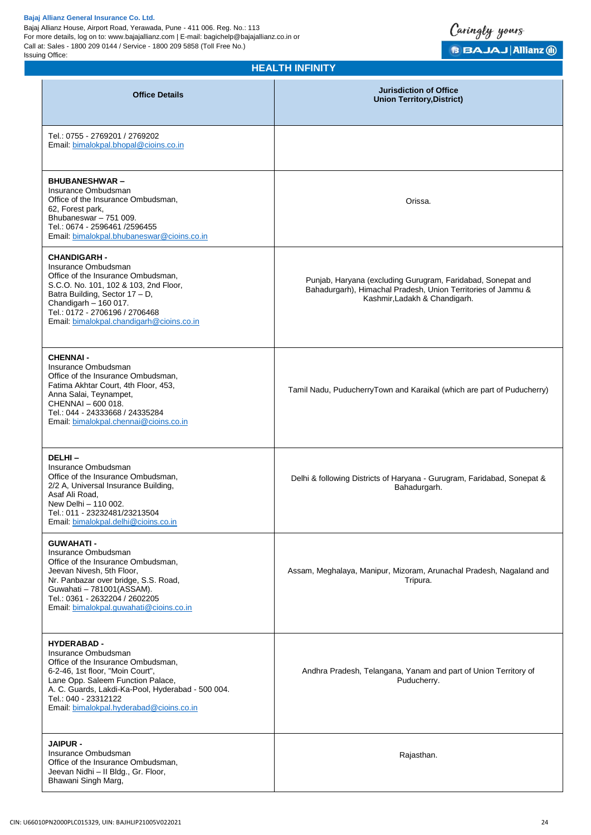# **HEALTH INFINITY**

Caringly yours

**B BAJAJ Allianz @** 

| <b>MEALIM INFINII T</b>                                                                                                                                                                                                                                                           |                                                                                                                                                              |  |
|-----------------------------------------------------------------------------------------------------------------------------------------------------------------------------------------------------------------------------------------------------------------------------------|--------------------------------------------------------------------------------------------------------------------------------------------------------------|--|
| <b>Office Details</b>                                                                                                                                                                                                                                                             | <b>Jurisdiction of Office</b><br><b>Union Territory, District)</b>                                                                                           |  |
| Tel.: 0755 - 2769201 / 2769202<br>Email: bimalokpal.bhopal@cioins.co.in                                                                                                                                                                                                           |                                                                                                                                                              |  |
| <b>BHUBANESHWAR-</b><br>Insurance Ombudsman<br>Office of the Insurance Ombudsman,<br>62, Forest park,<br>Bhubaneswar - 751 009.<br>Tel.: 0674 - 2596461 /2596455<br>Email: bimalokpal.bhubaneswar@cioins.co.in                                                                    | Orissa.                                                                                                                                                      |  |
| <b>CHANDIGARH -</b><br>Insurance Ombudsman<br>Office of the Insurance Ombudsman,<br>S.C.O. No. 101, 102 & 103, 2nd Floor,<br>Batra Building, Sector 17 - D,<br>Chandigarh - 160 017.<br>Tel.: 0172 - 2706196 / 2706468<br>Email: bimalokpal.chandigarh@cioins.co.in               | Punjab, Haryana (excluding Gurugram, Faridabad, Sonepat and<br>Bahadurgarh), Himachal Pradesh, Union Territories of Jammu &<br>Kashmir, Ladakh & Chandigarh. |  |
| <b>CHENNAI -</b><br>Insurance Ombudsman<br>Office of the Insurance Ombudsman,<br>Fatima Akhtar Court, 4th Floor, 453,<br>Anna Salai, Teynampet,<br>CHENNAI - 600 018.<br>Tel.: 044 - 24333668 / 24335284<br>Email: bimalokpal.chennai@cioins.co.in                                | Tamil Nadu, PuducherryTown and Karaikal (which are part of Puducherry)                                                                                       |  |
| DELHI-<br>Insurance Ombudsman<br>Office of the Insurance Ombudsman,<br>2/2 A, Universal Insurance Building,<br>Asaf Ali Road,<br>New Delhi - 110 002.<br>Tel.: 011 - 23232481/23213504<br>Email: bimalokpal.delhi@cioins.co.in                                                    | Delhi & following Districts of Haryana - Gurugram, Faridabad, Sonepat &<br>Bahadurgarh.                                                                      |  |
| <b>GUWAHATI-</b><br>Insurance Ombudsman<br>Office of the Insurance Ombudsman,<br>Jeevan Nivesh, 5th Floor,<br>Nr. Panbazar over bridge, S.S. Road,<br>Guwahati - 781001(ASSAM).<br>Tel.: 0361 - 2632204 / 2602205<br>Email: bimalokpal.guwahati@cioins.co.in                      | Assam, Meghalaya, Manipur, Mizoram, Arunachal Pradesh, Nagaland and<br>Tripura.                                                                              |  |
| <b>HYDERABAD -</b><br>Insurance Ombudsman<br>Office of the Insurance Ombudsman,<br>6-2-46, 1st floor, "Moin Court",<br>Lane Opp. Saleem Function Palace,<br>A. C. Guards, Lakdi-Ka-Pool, Hyderabad - 500 004.<br>Tel.: 040 - 23312122<br>Email: bimalokpal.hyderabad@cioins.co.in | Andhra Pradesh, Telangana, Yanam and part of Union Territory of<br>Puducherry.                                                                               |  |
| <b>JAIPUR -</b><br>Insurance Ombudsman<br>Office of the Insurance Ombudsman,<br>Jeevan Nidhi - II Bldg., Gr. Floor,<br>Bhawani Singh Marg,                                                                                                                                        | Rajasthan.                                                                                                                                                   |  |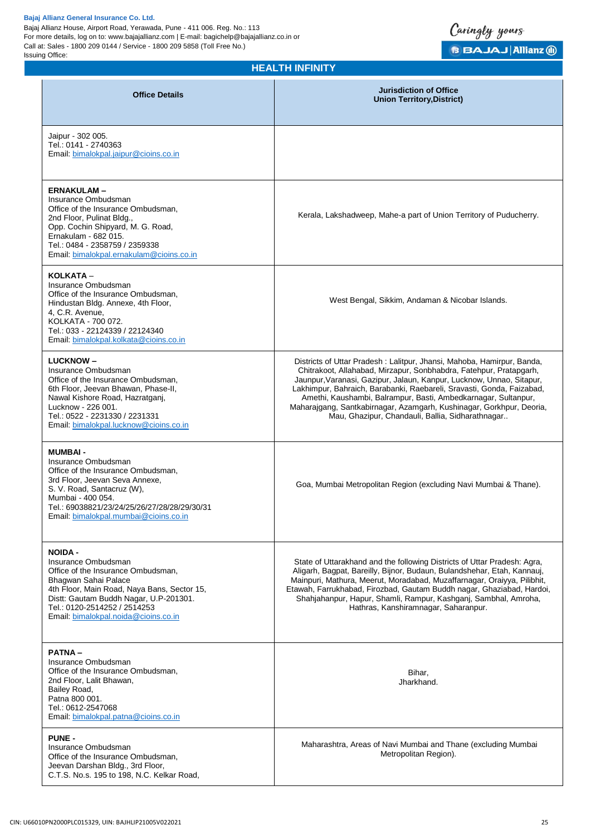

**Union Territory,District)**

#### Jaipur - 302 005. Tel.: 0141 - 2740363 Email: [bimalokpal.jaipur@cioins.co.in](mailto:bimalokpal.jaipur@cioins.co.in) **ERNAKULAM –** Insurance Ombudsman Office of the Insurance Ombudsman, 2nd Floor, Pulinat Bldg., Opp. Cochin Shipyard, M. G. Road, Ernakulam - 682 015. Tel.: 0484 - 2358759 / 2359338 Email: [bimalokpal.ernakulam@cioins.co.in](mailto:bimalokpal.ernakulam@cioins.co.in) Kerala, Lakshadweep, Mahe-a part of Union Territory of Puducherry. **KOLKATA** – Insurance Ombudsman Office of the Insurance Ombudsman, Hindustan Bldg. Annexe, 4th Floor, 4, C.R. Avenue, KOLKATA - 700 072. Tel.: 033 - 22124339 / 22124340 Email: [bimalokpal.kolkata@cioins.co.in](mailto:bimalokpal.kolkata@cioins.co.in) West Bengal, Sikkim, Andaman & Nicobar Islands. **LUCKNOW –** Insurance Ombudsman Office of the Insurance Ombudsman, 6th Floor, Jeevan Bhawan, Phase-II, Nawal Kishore Road, Hazratganj, Lucknow - 226 001. Tel.: 0522 - 2231330 / 2231331 Email: [bimalokpal.lucknow@cioins.co.in](mailto:bimalokpal.lucknow@cioins.co.in) Districts of Uttar Pradesh : Lalitpur, Jhansi, Mahoba, Hamirpur, Banda, Chitrakoot, Allahabad, Mirzapur, Sonbhabdra, Fatehpur, Pratapgarh, Jaunpur,Varanasi, Gazipur, Jalaun, Kanpur, Lucknow, Unnao, Sitapur, Lakhimpur, Bahraich, Barabanki, Raebareli, Sravasti, Gonda, Faizabad, Amethi, Kaushambi, Balrampur, Basti, Ambedkarnagar, Sultanpur, Maharajgang, Santkabirnagar, Azamgarh, Kushinagar, Gorkhpur, Deoria, Mau, Ghazipur, Chandauli, Ballia, Sidharathnagar.. **MUMBAI -** Insurance Ombudsman Office of the Insurance Ombudsman, 3rd Floor, Jeevan Seva Annexe, S. V. Road, Santacruz (W), Mumbai - 400 054. Tel.: 69038821/23/24/25/26/27/28/28/29/30/31 Email: [bimalokpal.mumbai@cioins.co.in](mailto:bimalokpal.mumbai@cioins.co.in) Goa, Mumbai Metropolitan Region (excluding Navi Mumbai & Thane). **NOIDA -** Insurance Ombudsman Office of the Insurance Ombudsman, Bhagwan Sahai Palace 4th Floor, Main Road, Naya Bans, Sector 15, Distt: Gautam Buddh Nagar, U.P-201301. Tel.: 0120-2514252 / 2514253 Email: [bimalokpal.noida@cioins.co.in](mailto:bimalokpal.noida@cioins.co.in) State of Uttarakhand and the following Districts of Uttar Pradesh: Agra, Aligarh, Bagpat, Bareilly, Bijnor, Budaun, Bulandshehar, Etah, Kannauj, Mainpuri, Mathura, Meerut, Moradabad, Muzaffarnagar, Oraiyya, Pilibhit, Etawah, Farrukhabad, Firozbad, Gautam Buddh nagar, Ghaziabad, Hardoi, Shahjahanpur, Hapur, Shamli, Rampur, Kashganj, Sambhal, Amroha, Hathras, Kanshiramnagar, Saharanpur. **PATNA –** Insurance Ombudsman Office of the Insurance Ombudsman, 2nd Floor, Lalit Bhawan, Bailey Road, Patna 800 001. Tel.: 0612-2547068 Email: [bimalokpal.patna@cioins.co.in](mailto:bimalokpal.patna@cioins.co.in) Bihar, Jharkhand. **PUNE -** Insurance Ombudsman Office of the Insurance Ombudsman, Jeevan Darshan Bldg., 3rd Floor, C.T.S. No.s. 195 to 198, N.C. Kelkar Road, Maharashtra, Areas of Navi Mumbai and Thane (excluding Mumbai Metropolitan Region).

**HEALTH INFINITY**

**Office Details Jurisdiction of Office**